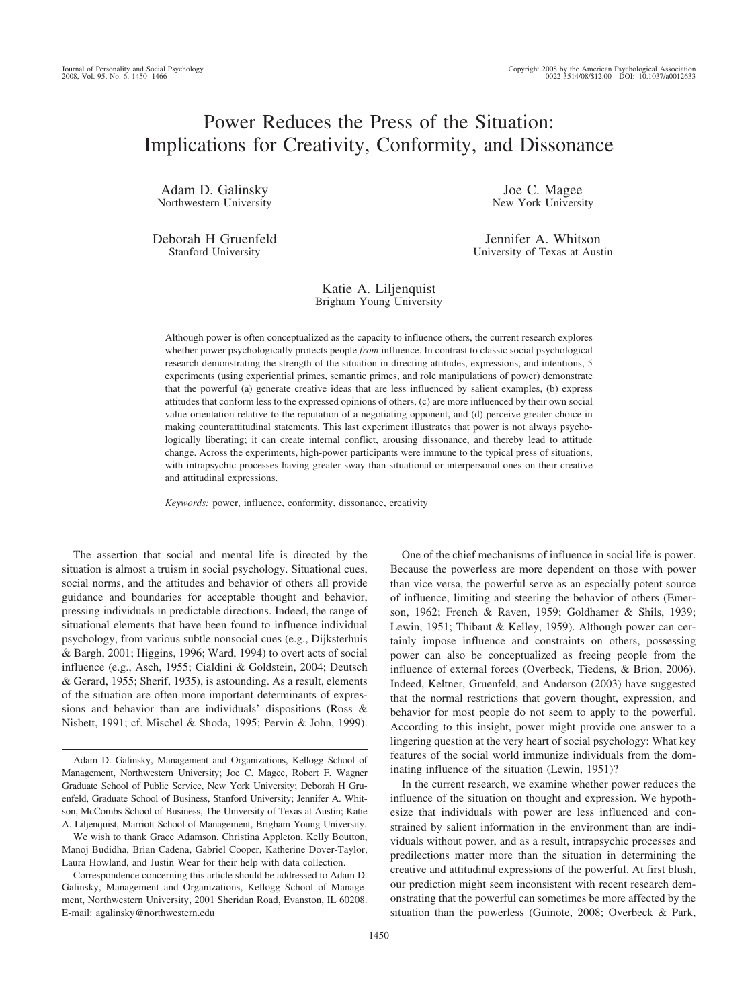# Power Reduces the Press of the Situation: Implications for Creativity, Conformity, and Dissonance

Adam D. Galinsky Northwestern University

Deborah H Gruenfeld Stanford University

Joe C. Magee New York University

Jennifer A. Whitson University of Texas at Austin

#### Katie A. Lilienquist Brigham Young University

Although power is often conceptualized as the capacity to influence others, the current research explores whether power psychologically protects people *from* influence. In contrast to classic social psychological research demonstrating the strength of the situation in directing attitudes, expressions, and intentions, 5 experiments (using experiential primes, semantic primes, and role manipulations of power) demonstrate that the powerful (a) generate creative ideas that are less influenced by salient examples, (b) express attitudes that conform less to the expressed opinions of others, (c) are more influenced by their own social value orientation relative to the reputation of a negotiating opponent, and (d) perceive greater choice in making counterattitudinal statements. This last experiment illustrates that power is not always psychologically liberating; it can create internal conflict, arousing dissonance, and thereby lead to attitude change. Across the experiments, high-power participants were immune to the typical press of situations, with intrapsychic processes having greater sway than situational or interpersonal ones on their creative and attitudinal expressions.

*Keywords:* power, influence, conformity, dissonance, creativity

The assertion that social and mental life is directed by the situation is almost a truism in social psychology. Situational cues, social norms, and the attitudes and behavior of others all provide guidance and boundaries for acceptable thought and behavior, pressing individuals in predictable directions. Indeed, the range of situational elements that have been found to influence individual psychology, from various subtle nonsocial cues (e.g., Dijksterhuis & Bargh, 2001; Higgins, 1996; Ward, 1994) to overt acts of social influence (e.g., Asch, 1955; Cialdini & Goldstein, 2004; Deutsch & Gerard, 1955; Sherif, 1935), is astounding. As a result, elements of the situation are often more important determinants of expressions and behavior than are individuals' dispositions (Ross & Nisbett, 1991; cf. Mischel & Shoda, 1995; Pervin & John, 1999).

We wish to thank Grace Adamson, Christina Appleton, Kelly Boutton, Manoj Budidha, Brian Cadena, Gabriel Cooper, Katherine Dover-Taylor, Laura Howland, and Justin Wear for their help with data collection.

Correspondence concerning this article should be addressed to Adam D. Galinsky, Management and Organizations, Kellogg School of Management, Northwestern University, 2001 Sheridan Road, Evanston, IL 60208. E-mail: agalinsky@northwestern.edu

One of the chief mechanisms of influence in social life is power. Because the powerless are more dependent on those with power than vice versa, the powerful serve as an especially potent source of influence, limiting and steering the behavior of others (Emerson, 1962; French & Raven, 1959; Goldhamer & Shils, 1939; Lewin, 1951; Thibaut & Kelley, 1959). Although power can certainly impose influence and constraints on others, possessing power can also be conceptualized as freeing people from the influence of external forces (Overbeck, Tiedens, & Brion, 2006). Indeed, Keltner, Gruenfeld, and Anderson (2003) have suggested that the normal restrictions that govern thought, expression, and behavior for most people do not seem to apply to the powerful. According to this insight, power might provide one answer to a lingering question at the very heart of social psychology: What key features of the social world immunize individuals from the dominating influence of the situation (Lewin, 1951)?

In the current research, we examine whether power reduces the influence of the situation on thought and expression. We hypothesize that individuals with power are less influenced and constrained by salient information in the environment than are individuals without power, and as a result, intrapsychic processes and predilections matter more than the situation in determining the creative and attitudinal expressions of the powerful. At first blush, our prediction might seem inconsistent with recent research demonstrating that the powerful can sometimes be more affected by the situation than the powerless (Guinote, 2008; Overbeck & Park,

Adam D. Galinsky, Management and Organizations, Kellogg School of Management, Northwestern University; Joe C. Magee, Robert F. Wagner Graduate School of Public Service, New York University; Deborah H Gruenfeld, Graduate School of Business, Stanford University; Jennifer A. Whitson, McCombs School of Business, The University of Texas at Austin; Katie A. Liljenquist, Marriott School of Management, Brigham Young University.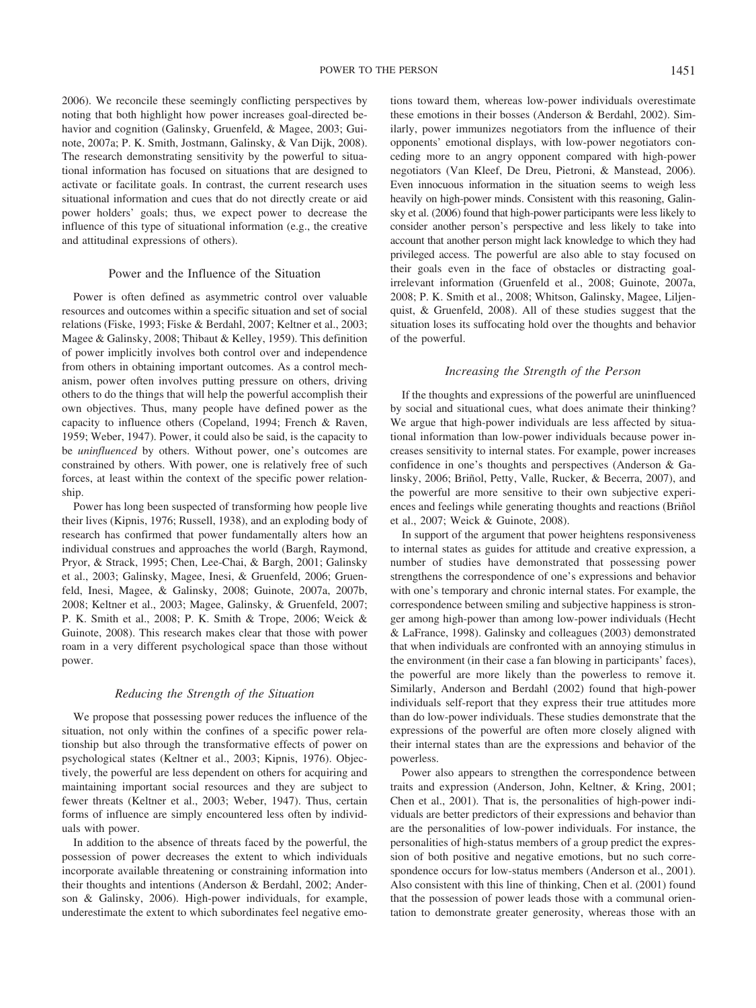2006). We reconcile these seemingly conflicting perspectives by noting that both highlight how power increases goal-directed behavior and cognition (Galinsky, Gruenfeld, & Magee, 2003; Guinote, 2007a; P. K. Smith, Jostmann, Galinsky, & Van Dijk, 2008). The research demonstrating sensitivity by the powerful to situational information has focused on situations that are designed to activate or facilitate goals. In contrast, the current research uses situational information and cues that do not directly create or aid power holders' goals; thus, we expect power to decrease the influence of this type of situational information (e.g., the creative and attitudinal expressions of others).

#### Power and the Influence of the Situation

Power is often defined as asymmetric control over valuable resources and outcomes within a specific situation and set of social relations (Fiske, 1993; Fiske & Berdahl, 2007; Keltner et al., 2003; Magee & Galinsky, 2008; Thibaut & Kelley, 1959). This definition of power implicitly involves both control over and independence from others in obtaining important outcomes. As a control mechanism, power often involves putting pressure on others, driving others to do the things that will help the powerful accomplish their own objectives. Thus, many people have defined power as the capacity to influence others (Copeland, 1994; French & Raven, 1959; Weber, 1947). Power, it could also be said, is the capacity to be *uninfluenced* by others. Without power, one's outcomes are constrained by others. With power, one is relatively free of such forces, at least within the context of the specific power relationship.

Power has long been suspected of transforming how people live their lives (Kipnis, 1976; Russell, 1938), and an exploding body of research has confirmed that power fundamentally alters how an individual construes and approaches the world (Bargh, Raymond, Pryor, & Strack, 1995; Chen, Lee-Chai, & Bargh, 2001; Galinsky et al., 2003; Galinsky, Magee, Inesi, & Gruenfeld, 2006; Gruenfeld, Inesi, Magee, & Galinsky, 2008; Guinote, 2007a, 2007b, 2008; Keltner et al., 2003; Magee, Galinsky, & Gruenfeld, 2007; P. K. Smith et al., 2008; P. K. Smith & Trope, 2006; Weick & Guinote, 2008). This research makes clear that those with power roam in a very different psychological space than those without power.

# *Reducing the Strength of the Situation*

We propose that possessing power reduces the influence of the situation, not only within the confines of a specific power relationship but also through the transformative effects of power on psychological states (Keltner et al., 2003; Kipnis, 1976). Objectively, the powerful are less dependent on others for acquiring and maintaining important social resources and they are subject to fewer threats (Keltner et al., 2003; Weber, 1947). Thus, certain forms of influence are simply encountered less often by individuals with power.

In addition to the absence of threats faced by the powerful, the possession of power decreases the extent to which individuals incorporate available threatening or constraining information into their thoughts and intentions (Anderson & Berdahl, 2002; Anderson & Galinsky, 2006). High-power individuals, for example, underestimate the extent to which subordinates feel negative emotions toward them, whereas low-power individuals overestimate these emotions in their bosses (Anderson & Berdahl, 2002). Similarly, power immunizes negotiators from the influence of their opponents' emotional displays, with low-power negotiators conceding more to an angry opponent compared with high-power negotiators (Van Kleef, De Dreu, Pietroni, & Manstead, 2006). Even innocuous information in the situation seems to weigh less heavily on high-power minds. Consistent with this reasoning, Galinsky et al. (2006) found that high-power participants were less likely to consider another person's perspective and less likely to take into account that another person might lack knowledge to which they had privileged access. The powerful are also able to stay focused on their goals even in the face of obstacles or distracting goalirrelevant information (Gruenfeld et al., 2008; Guinote, 2007a, 2008; P. K. Smith et al., 2008; Whitson, Galinsky, Magee, Liljenquist, & Gruenfeld, 2008). All of these studies suggest that the situation loses its suffocating hold over the thoughts and behavior of the powerful.

#### *Increasing the Strength of the Person*

If the thoughts and expressions of the powerful are uninfluenced by social and situational cues, what does animate their thinking? We argue that high-power individuals are less affected by situational information than low-power individuals because power increases sensitivity to internal states. For example, power increases confidence in one's thoughts and perspectives (Anderson & Galinsky, 2006; Briñol, Petty, Valle, Rucker, & Becerra, 2007), and the powerful are more sensitive to their own subjective experiences and feelings while generating thoughts and reactions (Briñol) et al., 2007; Weick & Guinote, 2008).

In support of the argument that power heightens responsiveness to internal states as guides for attitude and creative expression, a number of studies have demonstrated that possessing power strengthens the correspondence of one's expressions and behavior with one's temporary and chronic internal states. For example, the correspondence between smiling and subjective happiness is stronger among high-power than among low-power individuals (Hecht & LaFrance, 1998). Galinsky and colleagues (2003) demonstrated that when individuals are confronted with an annoying stimulus in the environment (in their case a fan blowing in participants' faces), the powerful are more likely than the powerless to remove it. Similarly, Anderson and Berdahl (2002) found that high-power individuals self-report that they express their true attitudes more than do low-power individuals. These studies demonstrate that the expressions of the powerful are often more closely aligned with their internal states than are the expressions and behavior of the powerless.

Power also appears to strengthen the correspondence between traits and expression (Anderson, John, Keltner, & Kring, 2001; Chen et al., 2001). That is, the personalities of high-power individuals are better predictors of their expressions and behavior than are the personalities of low-power individuals. For instance, the personalities of high-status members of a group predict the expression of both positive and negative emotions, but no such correspondence occurs for low-status members (Anderson et al., 2001). Also consistent with this line of thinking, Chen et al. (2001) found that the possession of power leads those with a communal orientation to demonstrate greater generosity, whereas those with an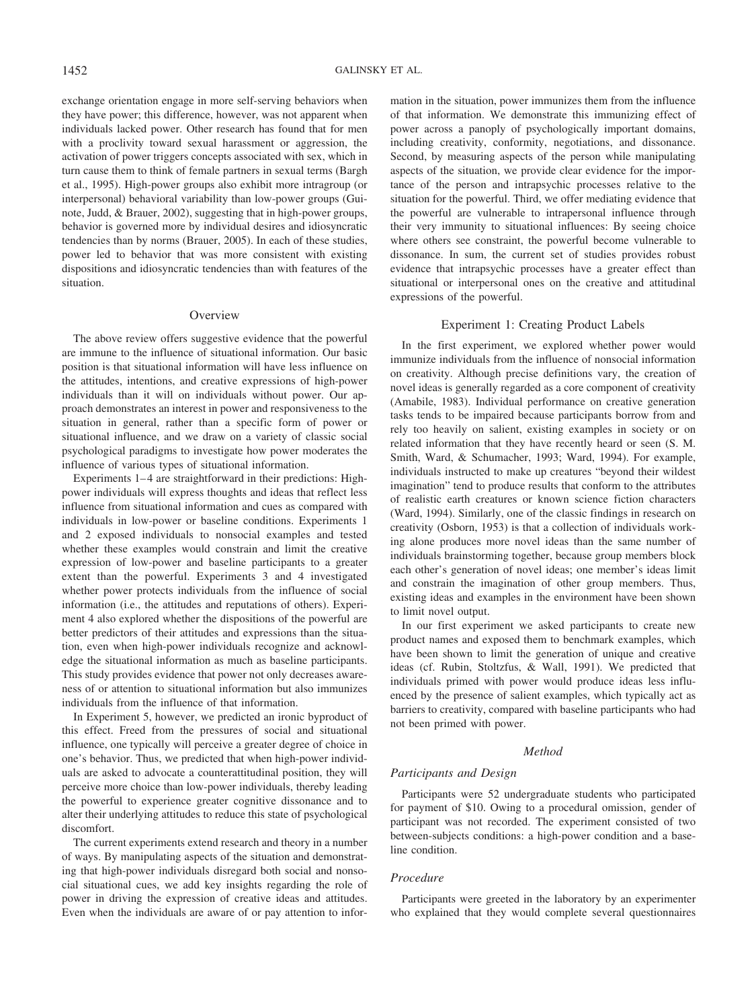exchange orientation engage in more self-serving behaviors when they have power; this difference, however, was not apparent when individuals lacked power. Other research has found that for men with a proclivity toward sexual harassment or aggression, the activation of power triggers concepts associated with sex, which in turn cause them to think of female partners in sexual terms (Bargh et al., 1995). High-power groups also exhibit more intragroup (or interpersonal) behavioral variability than low-power groups (Guinote, Judd, & Brauer, 2002), suggesting that in high-power groups, behavior is governed more by individual desires and idiosyncratic tendencies than by norms (Brauer, 2005). In each of these studies, power led to behavior that was more consistent with existing dispositions and idiosyncratic tendencies than with features of the situation.

#### **Overview**

The above review offers suggestive evidence that the powerful are immune to the influence of situational information. Our basic position is that situational information will have less influence on the attitudes, intentions, and creative expressions of high-power individuals than it will on individuals without power. Our approach demonstrates an interest in power and responsiveness to the situation in general, rather than a specific form of power or situational influence, and we draw on a variety of classic social psychological paradigms to investigate how power moderates the influence of various types of situational information.

Experiments 1–4 are straightforward in their predictions: Highpower individuals will express thoughts and ideas that reflect less influence from situational information and cues as compared with individuals in low-power or baseline conditions. Experiments 1 and 2 exposed individuals to nonsocial examples and tested whether these examples would constrain and limit the creative expression of low-power and baseline participants to a greater extent than the powerful. Experiments 3 and 4 investigated whether power protects individuals from the influence of social information (i.e., the attitudes and reputations of others). Experiment 4 also explored whether the dispositions of the powerful are better predictors of their attitudes and expressions than the situation, even when high-power individuals recognize and acknowledge the situational information as much as baseline participants. This study provides evidence that power not only decreases awareness of or attention to situational information but also immunizes individuals from the influence of that information.

In Experiment 5, however, we predicted an ironic byproduct of this effect. Freed from the pressures of social and situational influence, one typically will perceive a greater degree of choice in one's behavior. Thus, we predicted that when high-power individuals are asked to advocate a counterattitudinal position, they will perceive more choice than low-power individuals, thereby leading the powerful to experience greater cognitive dissonance and to alter their underlying attitudes to reduce this state of psychological discomfort.

The current experiments extend research and theory in a number of ways. By manipulating aspects of the situation and demonstrating that high-power individuals disregard both social and nonsocial situational cues, we add key insights regarding the role of power in driving the expression of creative ideas and attitudes. Even when the individuals are aware of or pay attention to information in the situation, power immunizes them from the influence of that information. We demonstrate this immunizing effect of power across a panoply of psychologically important domains, including creativity, conformity, negotiations, and dissonance. Second, by measuring aspects of the person while manipulating aspects of the situation, we provide clear evidence for the importance of the person and intrapsychic processes relative to the situation for the powerful. Third, we offer mediating evidence that the powerful are vulnerable to intrapersonal influence through their very immunity to situational influences: By seeing choice where others see constraint, the powerful become vulnerable to dissonance. In sum, the current set of studies provides robust evidence that intrapsychic processes have a greater effect than situational or interpersonal ones on the creative and attitudinal expressions of the powerful.

#### Experiment 1: Creating Product Labels

In the first experiment, we explored whether power would immunize individuals from the influence of nonsocial information on creativity. Although precise definitions vary, the creation of novel ideas is generally regarded as a core component of creativity (Amabile, 1983). Individual performance on creative generation tasks tends to be impaired because participants borrow from and rely too heavily on salient, existing examples in society or on related information that they have recently heard or seen (S. M. Smith, Ward, & Schumacher, 1993; Ward, 1994). For example, individuals instructed to make up creatures "beyond their wildest imagination" tend to produce results that conform to the attributes of realistic earth creatures or known science fiction characters (Ward, 1994). Similarly, one of the classic findings in research on creativity (Osborn, 1953) is that a collection of individuals working alone produces more novel ideas than the same number of individuals brainstorming together, because group members block each other's generation of novel ideas; one member's ideas limit and constrain the imagination of other group members. Thus, existing ideas and examples in the environment have been shown to limit novel output.

In our first experiment we asked participants to create new product names and exposed them to benchmark examples, which have been shown to limit the generation of unique and creative ideas (cf. Rubin, Stoltzfus, & Wall, 1991). We predicted that individuals primed with power would produce ideas less influenced by the presence of salient examples, which typically act as barriers to creativity, compared with baseline participants who had not been primed with power.

#### *Method*

#### *Participants and Design*

Participants were 52 undergraduate students who participated for payment of \$10. Owing to a procedural omission, gender of participant was not recorded. The experiment consisted of two between-subjects conditions: a high-power condition and a baseline condition.

#### *Procedure*

Participants were greeted in the laboratory by an experimenter who explained that they would complete several questionnaires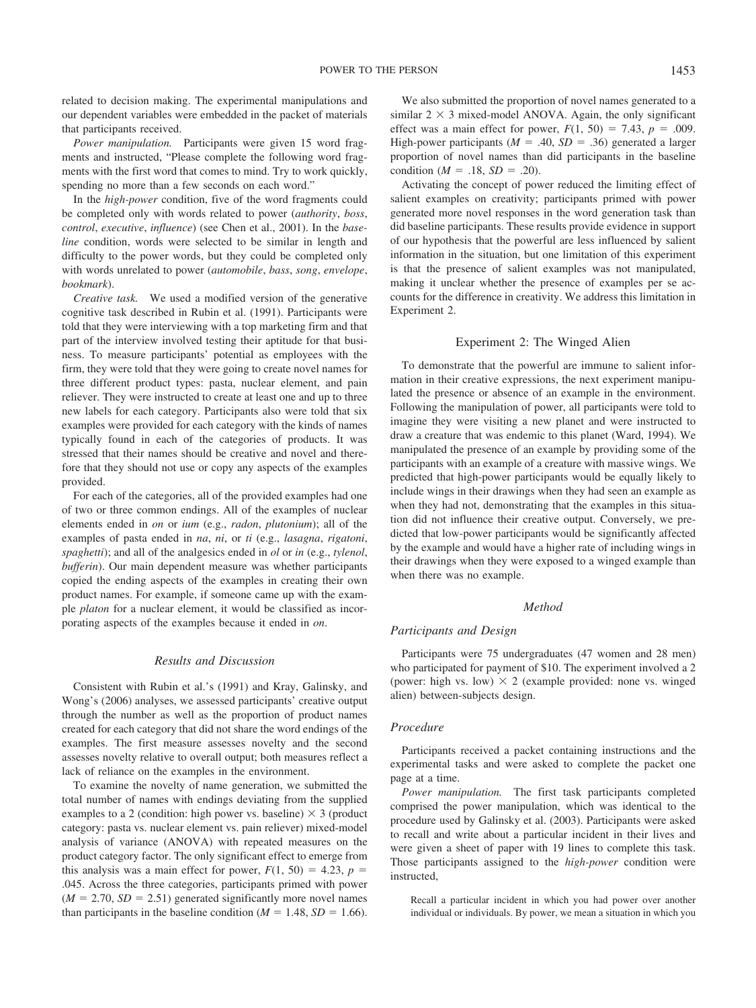related to decision making. The experimental manipulations and our dependent variables were embedded in the packet of materials that participants received.

*Power manipulation.* Participants were given 15 word fragments and instructed, "Please complete the following word fragments with the first word that comes to mind. Try to work quickly, spending no more than a few seconds on each word."

In the *high-power* condition, five of the word fragments could be completed only with words related to power (*authority*, *boss*, *control*, *executive*, *influence*) (see Chen et al., 2001). In the *baseline* condition, words were selected to be similar in length and difficulty to the power words, but they could be completed only with words unrelated to power (*automobile*, *bass*, *song*, *envelope*, *bookmark*).

*Creative task.* We used a modified version of the generative cognitive task described in Rubin et al. (1991). Participants were told that they were interviewing with a top marketing firm and that part of the interview involved testing their aptitude for that business. To measure participants' potential as employees with the firm, they were told that they were going to create novel names for three different product types: pasta, nuclear element, and pain reliever. They were instructed to create at least one and up to three new labels for each category. Participants also were told that six examples were provided for each category with the kinds of names typically found in each of the categories of products. It was stressed that their names should be creative and novel and therefore that they should not use or copy any aspects of the examples provided.

For each of the categories, all of the provided examples had one of two or three common endings. All of the examples of nuclear elements ended in *on* or *ium* (e.g., *radon*, *plutonium*); all of the examples of pasta ended in *na*, *ni*, or *ti* (e.g., *lasagna*, *rigatoni*, *spaghetti*); and all of the analgesics ended in *ol* or *in* (e.g., *tylenol*, *bufferin*). Our main dependent measure was whether participants copied the ending aspects of the examples in creating their own product names. For example, if someone came up with the example *platon* for a nuclear element, it would be classified as incorporating aspects of the examples because it ended in *on*.

#### *Results and Discussion*

Consistent with Rubin et al.'s (1991) and Kray, Galinsky, and Wong's (2006) analyses, we assessed participants' creative output through the number as well as the proportion of product names created for each category that did not share the word endings of the examples. The first measure assesses novelty and the second assesses novelty relative to overall output; both measures reflect a lack of reliance on the examples in the environment.

To examine the novelty of name generation, we submitted the total number of names with endings deviating from the supplied examples to a 2 (condition: high power vs. baseline)  $\times$  3 (product category: pasta vs. nuclear element vs. pain reliever) mixed-model analysis of variance (ANOVA) with repeated measures on the product category factor. The only significant effect to emerge from this analysis was a main effect for power,  $F(1, 50) = 4.23$ ,  $p =$ .045. Across the three categories, participants primed with power  $(M = 2.70, SD = 2.51)$  generated significantly more novel names than participants in the baseline condition ( $M = 1.48$ ,  $SD = 1.66$ ).

We also submitted the proportion of novel names generated to a similar  $2 \times 3$  mixed-model ANOVA. Again, the only significant effect was a main effect for power,  $F(1, 50) = 7.43$ ,  $p = .009$ . High-power participants ( $M = .40$ ,  $SD = .36$ ) generated a larger proportion of novel names than did participants in the baseline condition ( $M = .18$ ,  $SD = .20$ ).

Activating the concept of power reduced the limiting effect of salient examples on creativity; participants primed with power generated more novel responses in the word generation task than did baseline participants. These results provide evidence in support of our hypothesis that the powerful are less influenced by salient information in the situation, but one limitation of this experiment is that the presence of salient examples was not manipulated, making it unclear whether the presence of examples per se accounts for the difference in creativity. We address this limitation in Experiment 2.

#### Experiment 2: The Winged Alien

To demonstrate that the powerful are immune to salient information in their creative expressions, the next experiment manipulated the presence or absence of an example in the environment. Following the manipulation of power, all participants were told to imagine they were visiting a new planet and were instructed to draw a creature that was endemic to this planet (Ward, 1994). We manipulated the presence of an example by providing some of the participants with an example of a creature with massive wings. We predicted that high-power participants would be equally likely to include wings in their drawings when they had seen an example as when they had not, demonstrating that the examples in this situation did not influence their creative output. Conversely, we predicted that low-power participants would be significantly affected by the example and would have a higher rate of including wings in their drawings when they were exposed to a winged example than when there was no example.

# *Method*

#### *Participants and Design*

Participants were 75 undergraduates (47 women and 28 men) who participated for payment of \$10. The experiment involved a 2 (power: high vs. low)  $\times$  2 (example provided: none vs. winged alien) between-subjects design.

#### *Procedure*

Participants received a packet containing instructions and the experimental tasks and were asked to complete the packet one page at a time.

*Power manipulation.* The first task participants completed comprised the power manipulation, which was identical to the procedure used by Galinsky et al. (2003). Participants were asked to recall and write about a particular incident in their lives and were given a sheet of paper with 19 lines to complete this task. Those participants assigned to the *high-power* condition were instructed,

Recall a particular incident in which you had power over another individual or individuals. By power, we mean a situation in which you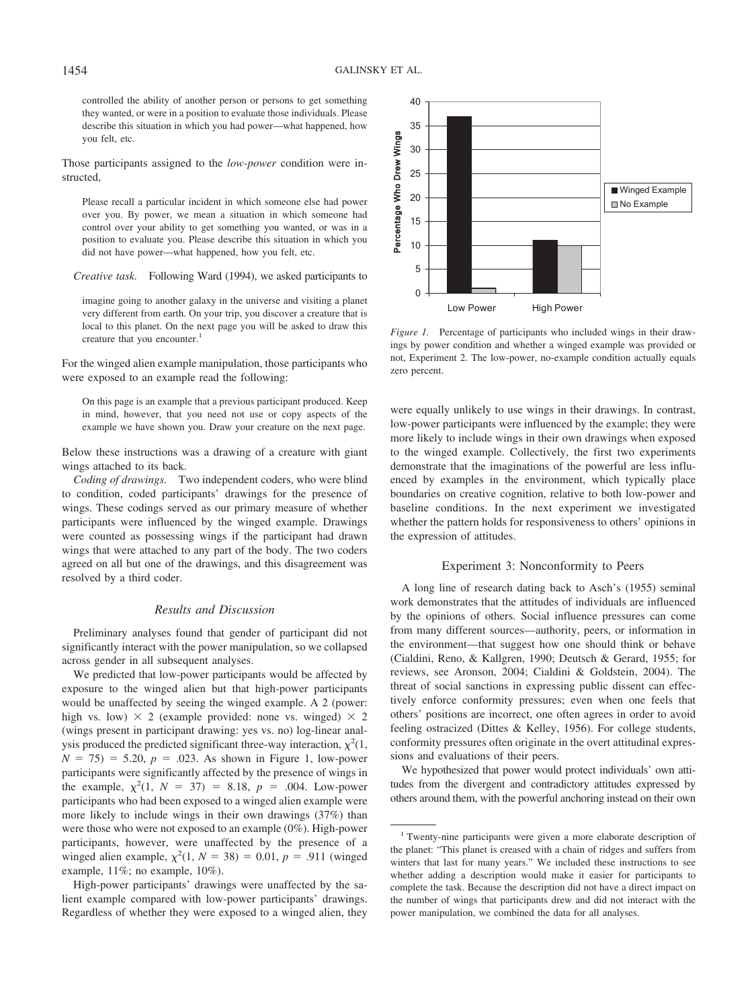controlled the ability of another person or persons to get something they wanted, or were in a position to evaluate those individuals. Please describe this situation in which you had power—what happened, how you felt, etc.

Those participants assigned to the *low-power* condition were instructed,

Please recall a particular incident in which someone else had power over you. By power, we mean a situation in which someone had control over your ability to get something you wanted, or was in a position to evaluate you. Please describe this situation in which you did not have power—what happened, how you felt, etc.

*Creative task.* Following Ward (1994), we asked participants to

imagine going to another galaxy in the universe and visiting a planet very different from earth. On your trip, you discover a creature that is local to this planet. On the next page you will be asked to draw this creature that you encounter.<sup>1</sup>

For the winged alien example manipulation, those participants who were exposed to an example read the following:

On this page is an example that a previous participant produced. Keep in mind, however, that you need not use or copy aspects of the example we have shown you. Draw your creature on the next page.

Below these instructions was a drawing of a creature with giant wings attached to its back.

*Coding of drawings.* Two independent coders, who were blind to condition, coded participants' drawings for the presence of wings. These codings served as our primary measure of whether participants were influenced by the winged example. Drawings were counted as possessing wings if the participant had drawn wings that were attached to any part of the body. The two coders agreed on all but one of the drawings, and this disagreement was resolved by a third coder.

#### *Results and Discussion*

Preliminary analyses found that gender of participant did not significantly interact with the power manipulation, so we collapsed across gender in all subsequent analyses.

We predicted that low-power participants would be affected by exposure to the winged alien but that high-power participants would be unaffected by seeing the winged example. A 2 (power: high vs. low)  $\times$  2 (example provided: none vs. winged)  $\times$  2 (wings present in participant drawing: yes vs. no) log-linear analysis produced the predicted significant three-way interaction,  $\chi^2(1)$ ,  $N = 75$ ) = 5.20,  $p = .023$ . As shown in Figure 1, low-power participants were significantly affected by the presence of wings in the example,  $\chi^2(1, N = 37) = 8.18, p = .004$ . Low-power participants who had been exposed to a winged alien example were more likely to include wings in their own drawings (37%) than were those who were not exposed to an example (0%). High-power participants, however, were unaffected by the presence of a winged alien example,  $\chi^2(1, N = 38) = 0.01$ ,  $p = .911$  (winged example, 11%; no example, 10%).

High-power participants' drawings were unaffected by the salient example compared with low-power participants' drawings. Regardless of whether they were exposed to a winged alien, they



*Figure 1.* Percentage of participants who included wings in their drawings by power condition and whether a winged example was provided or not, Experiment 2. The low-power, no-example condition actually equals zero percent.

were equally unlikely to use wings in their drawings. In contrast, low-power participants were influenced by the example; they were more likely to include wings in their own drawings when exposed to the winged example. Collectively, the first two experiments demonstrate that the imaginations of the powerful are less influenced by examples in the environment, which typically place boundaries on creative cognition, relative to both low-power and baseline conditions. In the next experiment we investigated whether the pattern holds for responsiveness to others' opinions in the expression of attitudes.

#### Experiment 3: Nonconformity to Peers

A long line of research dating back to Asch's (1955) seminal work demonstrates that the attitudes of individuals are influenced by the opinions of others. Social influence pressures can come from many different sources—authority, peers, or information in the environment—that suggest how one should think or behave (Cialdini, Reno, & Kallgren, 1990; Deutsch & Gerard, 1955; for reviews, see Aronson, 2004; Cialdini & Goldstein, 2004). The threat of social sanctions in expressing public dissent can effectively enforce conformity pressures; even when one feels that others' positions are incorrect, one often agrees in order to avoid feeling ostracized (Dittes & Kelley, 1956). For college students, conformity pressures often originate in the overt attitudinal expressions and evaluations of their peers.

We hypothesized that power would protect individuals' own attitudes from the divergent and contradictory attitudes expressed by others around them, with the powerful anchoring instead on their own

<sup>1</sup> Twenty-nine participants were given a more elaborate description of the planet: "This planet is creased with a chain of ridges and suffers from winters that last for many years." We included these instructions to see whether adding a description would make it easier for participants to complete the task. Because the description did not have a direct impact on the number of wings that participants drew and did not interact with the power manipulation, we combined the data for all analyses.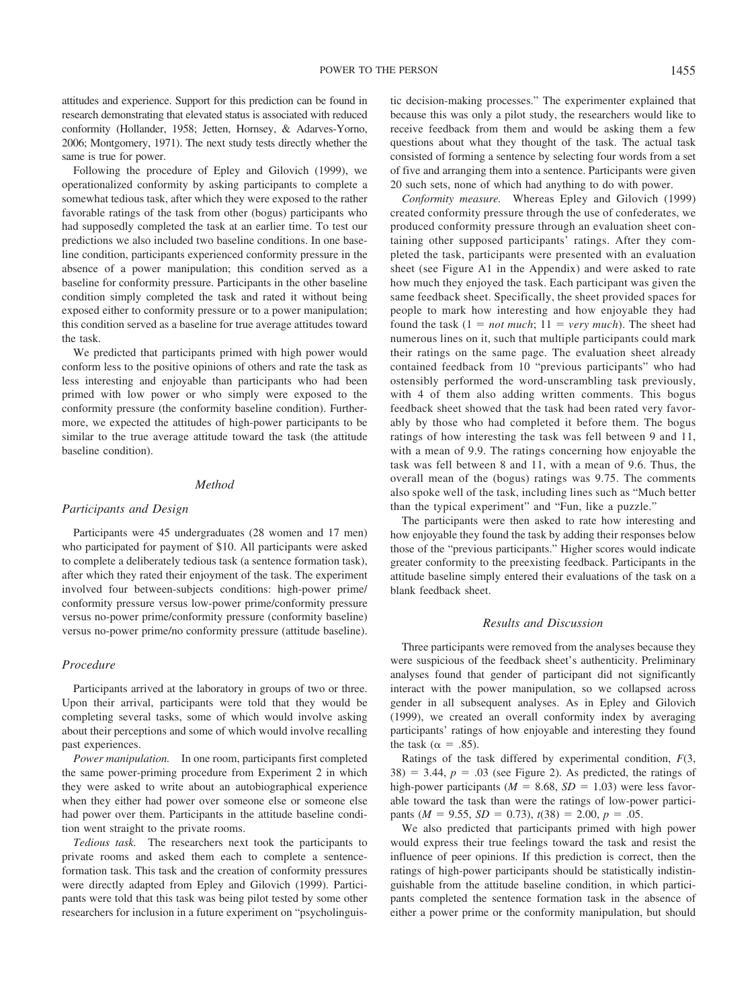attitudes and experience. Support for this prediction can be found in research demonstrating that elevated status is associated with reduced conformity (Hollander, 1958; Jetten, Hornsey, & Adarves-Yorno, 2006; Montgomery, 1971). The next study tests directly whether the same is true for power.

Following the procedure of Epley and Gilovich (1999), we operationalized conformity by asking participants to complete a somewhat tedious task, after which they were exposed to the rather favorable ratings of the task from other (bogus) participants who had supposedly completed the task at an earlier time. To test our predictions we also included two baseline conditions. In one baseline condition, participants experienced conformity pressure in the absence of a power manipulation; this condition served as a baseline for conformity pressure. Participants in the other baseline condition simply completed the task and rated it without being exposed either to conformity pressure or to a power manipulation; this condition served as a baseline for true average attitudes toward the task.

We predicted that participants primed with high power would conform less to the positive opinions of others and rate the task as less interesting and enjoyable than participants who had been primed with low power or who simply were exposed to the conformity pressure (the conformity baseline condition). Furthermore, we expected the attitudes of high-power participants to be similar to the true average attitude toward the task (the attitude baseline condition).

# *Method*

#### *Participants and Design*

Participants were 45 undergraduates (28 women and 17 men) who participated for payment of \$10. All participants were asked to complete a deliberately tedious task (a sentence formation task), after which they rated their enjoyment of the task. The experiment involved four between-subjects conditions: high-power prime/ conformity pressure versus low-power prime/conformity pressure versus no-power prime/conformity pressure (conformity baseline) versus no-power prime/no conformity pressure (attitude baseline).

# *Procedure*

Participants arrived at the laboratory in groups of two or three. Upon their arrival, participants were told that they would be completing several tasks, some of which would involve asking about their perceptions and some of which would involve recalling past experiences.

*Power manipulation.* In one room, participants first completed the same power-priming procedure from Experiment 2 in which they were asked to write about an autobiographical experience when they either had power over someone else or someone else had power over them. Participants in the attitude baseline condition went straight to the private rooms.

*Tedious task.* The researchers next took the participants to private rooms and asked them each to complete a sentenceformation task. This task and the creation of conformity pressures were directly adapted from Epley and Gilovich (1999). Participants were told that this task was being pilot tested by some other researchers for inclusion in a future experiment on "psycholinguistic decision-making processes." The experimenter explained that because this was only a pilot study, the researchers would like to receive feedback from them and would be asking them a few questions about what they thought of the task. The actual task consisted of forming a sentence by selecting four words from a set of five and arranging them into a sentence. Participants were given 20 such sets, none of which had anything to do with power.

*Conformity measure.* Whereas Epley and Gilovich (1999) created conformity pressure through the use of confederates, we produced conformity pressure through an evaluation sheet containing other supposed participants' ratings. After they completed the task, participants were presented with an evaluation sheet (see Figure A1 in the Appendix) and were asked to rate how much they enjoyed the task. Each participant was given the same feedback sheet. Specifically, the sheet provided spaces for people to mark how interesting and how enjoyable they had found the task  $(1 = not much; 11 = very much)$ . The sheet had numerous lines on it, such that multiple participants could mark their ratings on the same page. The evaluation sheet already contained feedback from 10 "previous participants" who had ostensibly performed the word-unscrambling task previously, with 4 of them also adding written comments. This bogus feedback sheet showed that the task had been rated very favorably by those who had completed it before them. The bogus ratings of how interesting the task was fell between 9 and 11, with a mean of 9.9. The ratings concerning how enjoyable the task was fell between 8 and 11, with a mean of 9.6. Thus, the overall mean of the (bogus) ratings was 9.75. The comments also spoke well of the task, including lines such as "Much better than the typical experiment" and "Fun, like a puzzle."

The participants were then asked to rate how interesting and how enjoyable they found the task by adding their responses below those of the "previous participants." Higher scores would indicate greater conformity to the preexisting feedback. Participants in the attitude baseline simply entered their evaluations of the task on a blank feedback sheet.

# *Results and Discussion*

Three participants were removed from the analyses because they were suspicious of the feedback sheet's authenticity. Preliminary analyses found that gender of participant did not significantly interact with the power manipulation, so we collapsed across gender in all subsequent analyses. As in Epley and Gilovich (1999), we created an overall conformity index by averaging participants' ratings of how enjoyable and interesting they found the task ( $\alpha = .85$ ).

Ratings of the task differed by experimental condition, *F*(3,  $38) = 3.44$ ,  $p = .03$  (see Figure 2). As predicted, the ratings of high-power participants ( $M = 8.68$ ,  $SD = 1.03$ ) were less favorable toward the task than were the ratings of low-power participants ( $M = 9.55$ ,  $SD = 0.73$ ),  $t(38) = 2.00$ ,  $p = .05$ .

We also predicted that participants primed with high power would express their true feelings toward the task and resist the influence of peer opinions. If this prediction is correct, then the ratings of high-power participants should be statistically indistinguishable from the attitude baseline condition, in which participants completed the sentence formation task in the absence of either a power prime or the conformity manipulation, but should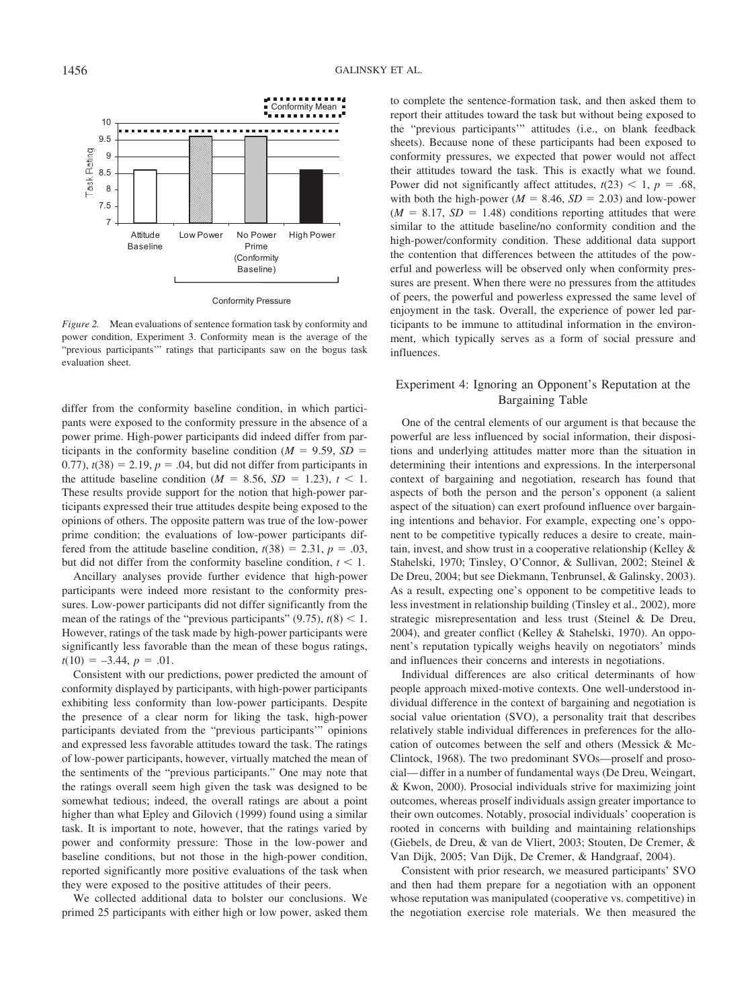

*Figure 2.* Mean evaluations of sentence formation task by conformity and power condition, Experiment 3. Conformity mean is the average of the "previous participants'" ratings that participants saw on the bogus task evaluation sheet.

differ from the conformity baseline condition, in which participants were exposed to the conformity pressure in the absence of a power prime. High-power participants did indeed differ from participants in the conformity baseline condition ( $M = 9.59$ ,  $SD =$  $(0.77)$ ,  $t(38) = 2.19$ ,  $p = .04$ , but did not differ from participants in the attitude baseline condition ( $M = 8.56$ ,  $SD = 1.23$ ),  $t < 1$ . These results provide support for the notion that high-power participants expressed their true attitudes despite being exposed to the opinions of others. The opposite pattern was true of the low-power prime condition; the evaluations of low-power participants differed from the attitude baseline condition,  $t(38) = 2.31$ ,  $p = .03$ , but did not differ from the conformity baseline condition,  $t < 1$ .

Ancillary analyses provide further evidence that high-power participants were indeed more resistant to the conformity pressures. Low-power participants did not differ significantly from the mean of the ratings of the "previous participants"  $(9.75)$ ,  $t(8) < 1$ . However, ratings of the task made by high-power participants were significantly less favorable than the mean of these bogus ratings,  $t(10) = -3.44, p = .01.$ 

Consistent with our predictions, power predicted the amount of conformity displayed by participants, with high-power participants exhibiting less conformity than low-power participants. Despite the presence of a clear norm for liking the task, high-power participants deviated from the "previous participants'" opinions and expressed less favorable attitudes toward the task. The ratings of low-power participants, however, virtually matched the mean of the sentiments of the "previous participants." One may note that the ratings overall seem high given the task was designed to be somewhat tedious; indeed, the overall ratings are about a point higher than what Epley and Gilovich (1999) found using a similar task. It is important to note, however, that the ratings varied by power and conformity pressure: Those in the low-power and baseline conditions, but not those in the high-power condition, reported significantly more positive evaluations of the task when they were exposed to the positive attitudes of their peers.

We collected additional data to bolster our conclusions. We primed 25 participants with either high or low power, asked them to complete the sentence-formation task, and then asked them to report their attitudes toward the task but without being exposed to the "previous participants'" attitudes (i.e., on blank feedback sheets). Because none of these participants had been exposed to conformity pressures, we expected that power would not affect their attitudes toward the task. This is exactly what we found. Power did not significantly affect attitudes,  $t(23) < 1$ ,  $p = .68$ , with both the high-power ( $M = 8.46$ ,  $SD = 2.03$ ) and low-power  $(M = 8.17, SD = 1.48)$  conditions reporting attitudes that were similar to the attitude baseline/no conformity condition and the high-power/conformity condition. These additional data support the contention that differences between the attitudes of the powerful and powerless will be observed only when conformity pressures are present. When there were no pressures from the attitudes of peers, the powerful and powerless expressed the same level of enjoyment in the task. Overall, the experience of power led participants to be immune to attitudinal information in the environment, which typically serves as a form of social pressure and influences.

# Experiment 4: Ignoring an Opponent's Reputation at the Bargaining Table

One of the central elements of our argument is that because the powerful are less influenced by social information, their dispositions and underlying attitudes matter more than the situation in determining their intentions and expressions. In the interpersonal context of bargaining and negotiation, research has found that aspects of both the person and the person's opponent (a salient aspect of the situation) can exert profound influence over bargaining intentions and behavior. For example, expecting one's opponent to be competitive typically reduces a desire to create, maintain, invest, and show trust in a cooperative relationship (Kelley & Stahelski, 1970; Tinsley, O'Connor, & Sullivan, 2002; Steinel & De Dreu, 2004; but see Diekmann, Tenbrunsel, & Galinsky, 2003). As a result, expecting one's opponent to be competitive leads to less investment in relationship building (Tinsley et al., 2002), more strategic misrepresentation and less trust (Steinel & De Dreu, 2004), and greater conflict (Kelley & Stahelski, 1970). An opponent's reputation typically weighs heavily on negotiators' minds and influences their concerns and interests in negotiations.

Individual differences are also critical determinants of how people approach mixed-motive contexts. One well-understood individual difference in the context of bargaining and negotiation is social value orientation (SVO), a personality trait that describes relatively stable individual differences in preferences for the allocation of outcomes between the self and others (Messick & Mc-Clintock, 1968). The two predominant SVOs—proself and prosocial— differ in a number of fundamental ways (De Dreu, Weingart, & Kwon, 2000). Prosocial individuals strive for maximizing joint outcomes, whereas proself individuals assign greater importance to their own outcomes. Notably, prosocial individuals' cooperation is rooted in concerns with building and maintaining relationships (Giebels, de Dreu, & van de Vliert, 2003; Stouten, De Cremer, & Van Dijk, 2005; Van Dijk, De Cremer, & Handgraaf, 2004).

Consistent with prior research, we measured participants' SVO and then had them prepare for a negotiation with an opponent whose reputation was manipulated (cooperative vs. competitive) in the negotiation exercise role materials. We then measured the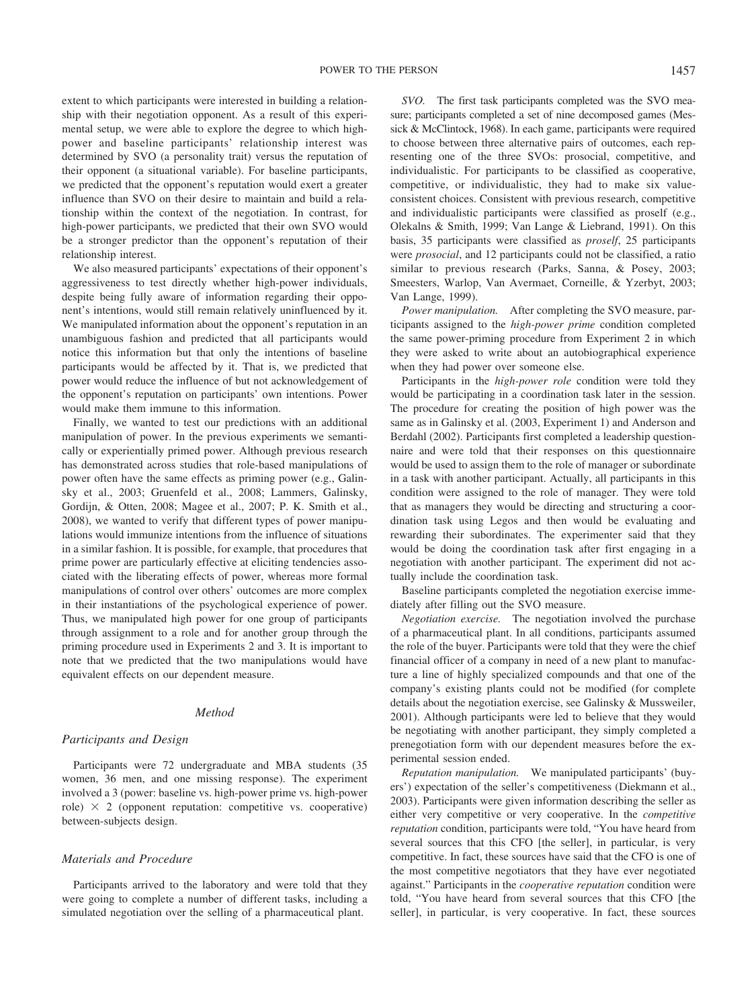extent to which participants were interested in building a relationship with their negotiation opponent. As a result of this experimental setup, we were able to explore the degree to which highpower and baseline participants' relationship interest was determined by SVO (a personality trait) versus the reputation of their opponent (a situational variable). For baseline participants, we predicted that the opponent's reputation would exert a greater influence than SVO on their desire to maintain and build a relationship within the context of the negotiation. In contrast, for high-power participants, we predicted that their own SVO would be a stronger predictor than the opponent's reputation of their relationship interest.

We also measured participants' expectations of their opponent's aggressiveness to test directly whether high-power individuals, despite being fully aware of information regarding their opponent's intentions, would still remain relatively uninfluenced by it. We manipulated information about the opponent's reputation in an unambiguous fashion and predicted that all participants would notice this information but that only the intentions of baseline participants would be affected by it. That is, we predicted that power would reduce the influence of but not acknowledgement of the opponent's reputation on participants' own intentions. Power would make them immune to this information.

Finally, we wanted to test our predictions with an additional manipulation of power. In the previous experiments we semantically or experientially primed power. Although previous research has demonstrated across studies that role-based manipulations of power often have the same effects as priming power (e.g., Galinsky et al., 2003; Gruenfeld et al., 2008; Lammers, Galinsky, Gordijn, & Otten, 2008; Magee et al., 2007; P. K. Smith et al., 2008), we wanted to verify that different types of power manipulations would immunize intentions from the influence of situations in a similar fashion. It is possible, for example, that procedures that prime power are particularly effective at eliciting tendencies associated with the liberating effects of power, whereas more formal manipulations of control over others' outcomes are more complex in their instantiations of the psychological experience of power. Thus, we manipulated high power for one group of participants through assignment to a role and for another group through the priming procedure used in Experiments 2 and 3. It is important to note that we predicted that the two manipulations would have equivalent effects on our dependent measure.

# *Method*

#### *Participants and Design*

Participants were 72 undergraduate and MBA students (35 women, 36 men, and one missing response). The experiment involved a 3 (power: baseline vs. high-power prime vs. high-power role)  $\times$  2 (opponent reputation: competitive vs. cooperative) between-subjects design.

#### *Materials and Procedure*

Participants arrived to the laboratory and were told that they were going to complete a number of different tasks, including a simulated negotiation over the selling of a pharmaceutical plant.

*SVO.* The first task participants completed was the SVO measure; participants completed a set of nine decomposed games (Messick & McClintock, 1968). In each game, participants were required to choose between three alternative pairs of outcomes, each representing one of the three SVOs: prosocial, competitive, and individualistic. For participants to be classified as cooperative, competitive, or individualistic, they had to make six valueconsistent choices. Consistent with previous research, competitive and individualistic participants were classified as proself (e.g., Olekalns & Smith, 1999; Van Lange & Liebrand, 1991). On this basis, 35 participants were classified as *proself*, 25 participants were *prosocial*, and 12 participants could not be classified, a ratio similar to previous research (Parks, Sanna, & Posey, 2003; Smeesters, Warlop, Van Avermaet, Corneille, & Yzerbyt, 2003; Van Lange, 1999).

*Power manipulation.* After completing the SVO measure, participants assigned to the *high-power prime* condition completed the same power-priming procedure from Experiment 2 in which they were asked to write about an autobiographical experience when they had power over someone else.

Participants in the *high-power role* condition were told they would be participating in a coordination task later in the session. The procedure for creating the position of high power was the same as in Galinsky et al. (2003, Experiment 1) and Anderson and Berdahl (2002). Participants first completed a leadership questionnaire and were told that their responses on this questionnaire would be used to assign them to the role of manager or subordinate in a task with another participant. Actually, all participants in this condition were assigned to the role of manager. They were told that as managers they would be directing and structuring a coordination task using Legos and then would be evaluating and rewarding their subordinates. The experimenter said that they would be doing the coordination task after first engaging in a negotiation with another participant. The experiment did not actually include the coordination task.

Baseline participants completed the negotiation exercise immediately after filling out the SVO measure.

*Negotiation exercise.* The negotiation involved the purchase of a pharmaceutical plant. In all conditions, participants assumed the role of the buyer. Participants were told that they were the chief financial officer of a company in need of a new plant to manufacture a line of highly specialized compounds and that one of the company's existing plants could not be modified (for complete details about the negotiation exercise, see Galinsky & Mussweiler, 2001). Although participants were led to believe that they would be negotiating with another participant, they simply completed a prenegotiation form with our dependent measures before the experimental session ended.

*Reputation manipulation.* We manipulated participants' (buyers') expectation of the seller's competitiveness (Diekmann et al., 2003). Participants were given information describing the seller as either very competitive or very cooperative. In the *competitive reputation* condition, participants were told, "You have heard from several sources that this CFO [the seller], in particular, is very competitive. In fact, these sources have said that the CFO is one of the most competitive negotiators that they have ever negotiated against." Participants in the *cooperative reputation* condition were told, "You have heard from several sources that this CFO [the seller], in particular, is very cooperative. In fact, these sources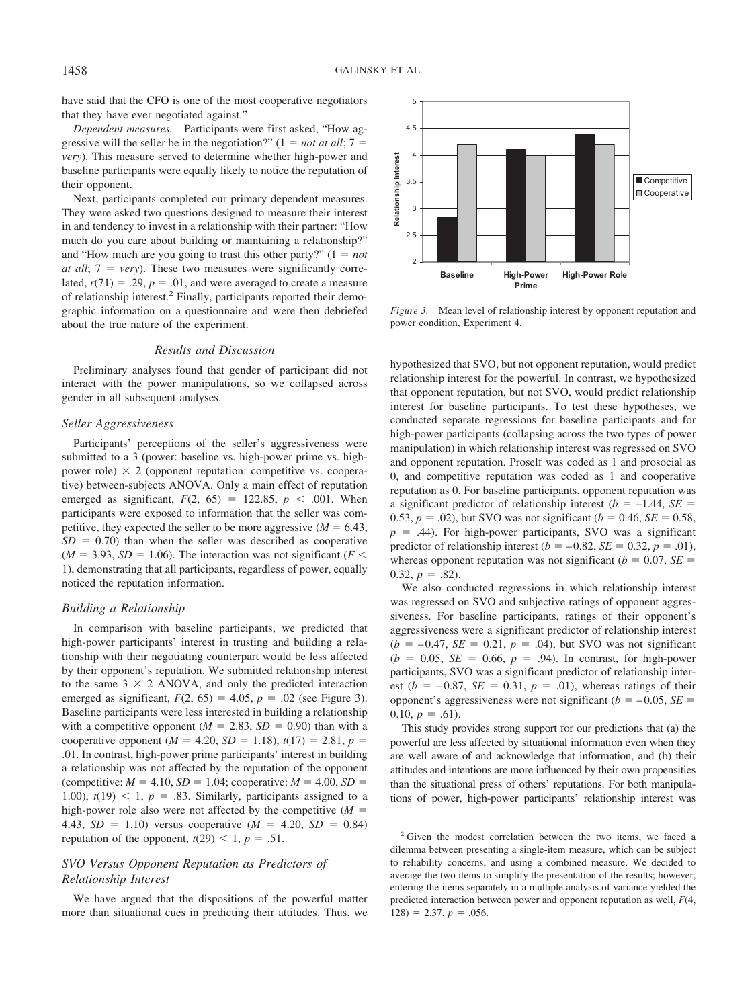have said that the CFO is one of the most cooperative negotiators that they have ever negotiated against."

*Dependent measures.* Participants were first asked, "How aggressive will the seller be in the negotiation?"  $(1 = not at all; 7 = 1)$ *very*). This measure served to determine whether high-power and baseline participants were equally likely to notice the reputation of their opponent.

Next, participants completed our primary dependent measures. They were asked two questions designed to measure their interest in and tendency to invest in a relationship with their partner: "How much do you care about building or maintaining a relationship?" and "How much are you going to trust this other party?"  $(1 = not$  $at$   $all$ ;  $7 = very$ ). These two measures were significantly correlated,  $r(71) = .29$ ,  $p = .01$ , and were averaged to create a measure of relationship interest.2 Finally, participants reported their demographic information on a questionnaire and were then debriefed about the true nature of the experiment.

#### *Results and Discussion*

Preliminary analyses found that gender of participant did not interact with the power manipulations, so we collapsed across gender in all subsequent analyses.

#### *Seller Aggressiveness*

Participants' perceptions of the seller's aggressiveness were submitted to a 3 (power: baseline vs. high-power prime vs. highpower role)  $\times$  2 (opponent reputation: competitive vs. cooperative) between-subjects ANOVA. Only a main effect of reputation emerged as significant,  $F(2, 65) = 122.85$ ,  $p < .001$ . When participants were exposed to information that the seller was competitive, they expected the seller to be more aggressive  $(M = 6.43,$  $SD = 0.70$ ) than when the seller was described as cooperative  $(M = 3.93, SD = 1.06)$ . The interaction was not significant ( $F$  < 1), demonstrating that all participants, regardless of power, equally noticed the reputation information.

#### *Building a Relationship*

In comparison with baseline participants, we predicted that high-power participants' interest in trusting and building a relationship with their negotiating counterpart would be less affected by their opponent's reputation. We submitted relationship interest to the same  $3 \times 2$  ANOVA, and only the predicted interaction emerged as significant,  $F(2, 65) = 4.05$ ,  $p = .02$  (see Figure 3). Baseline participants were less interested in building a relationship with a competitive opponent ( $M = 2.83$ ,  $SD = 0.90$ ) than with a cooperative opponent ( $M = 4.20$ ,  $SD = 1.18$ ),  $t(17) = 2.81$ ,  $p =$ .01. In contrast, high-power prime participants' interest in building a relationship was not affected by the reputation of the opponent (competitive:  $M = 4.10$ ,  $SD = 1.04$ ; cooperative:  $M = 4.00$ ,  $SD =$ 1.00),  $t(19)$  < 1,  $p = .83$ . Similarly, participants assigned to a high-power role also were not affected by the competitive  $(M =$ 4.43,  $SD = 1.10$ ) versus cooperative  $(M = 4.20, SD = 0.84)$ reputation of the opponent,  $t(29) < 1$ ,  $p = .51$ .

# *SVO Versus Opponent Reputation as Predictors of Relationship Interest*

We have argued that the dispositions of the powerful matter more than situational cues in predicting their attitudes. Thus, we



*Figure 3.* Mean level of relationship interest by opponent reputation and power condition, Experiment 4.

hypothesized that SVO, but not opponent reputation, would predict relationship interest for the powerful. In contrast, we hypothesized that opponent reputation, but not SVO, would predict relationship interest for baseline participants. To test these hypotheses, we conducted separate regressions for baseline participants and for high-power participants (collapsing across the two types of power manipulation) in which relationship interest was regressed on SVO and opponent reputation. Proself was coded as 1 and prosocial as 0, and competitive reputation was coded as 1 and cooperative reputation as 0. For baseline participants, opponent reputation was a significant predictor of relationship interest ( $b = -1.44$ ,  $SE =$ 0.53,  $p = .02$ ), but SVO was not significant ( $b = 0.46$ ,  $SE = 0.58$ ,  $p = .44$ ). For high-power participants, SVO was a significant predictor of relationship interest ( $b = -0.82$ ,  $SE = 0.32$ ,  $p = .01$ ), whereas opponent reputation was not significant ( $b = 0.07$ ,  $SE =$  $0.32, p = .82$ ).

We also conducted regressions in which relationship interest was regressed on SVO and subjective ratings of opponent aggressiveness. For baseline participants, ratings of their opponent's aggressiveness were a significant predictor of relationship interest  $(b = -0.47, SE = 0.21, p = .04)$ , but SVO was not significant  $(b = 0.05, SE = 0.66, p = .94)$ . In contrast, for high-power participants, SVO was a significant predictor of relationship interest ( $b = -0.87$ ,  $SE = 0.31$ ,  $p = .01$ ), whereas ratings of their opponent's aggressiveness were not significant ( $b = -0.05$ ,  $SE =$  $0.10, p = .61$ ).

This study provides strong support for our predictions that (a) the powerful are less affected by situational information even when they are well aware of and acknowledge that information, and (b) their attitudes and intentions are more influenced by their own propensities than the situational press of others' reputations. For both manipulations of power, high-power participants' relationship interest was

<sup>&</sup>lt;sup>2</sup> Given the modest correlation between the two items, we faced a dilemma between presenting a single-item measure, which can be subject to reliability concerns, and using a combined measure. We decided to average the two items to simplify the presentation of the results; however, entering the items separately in a multiple analysis of variance yielded the predicted interaction between power and opponent reputation as well, *F*(4,  $128) = 2.37, p = .056.$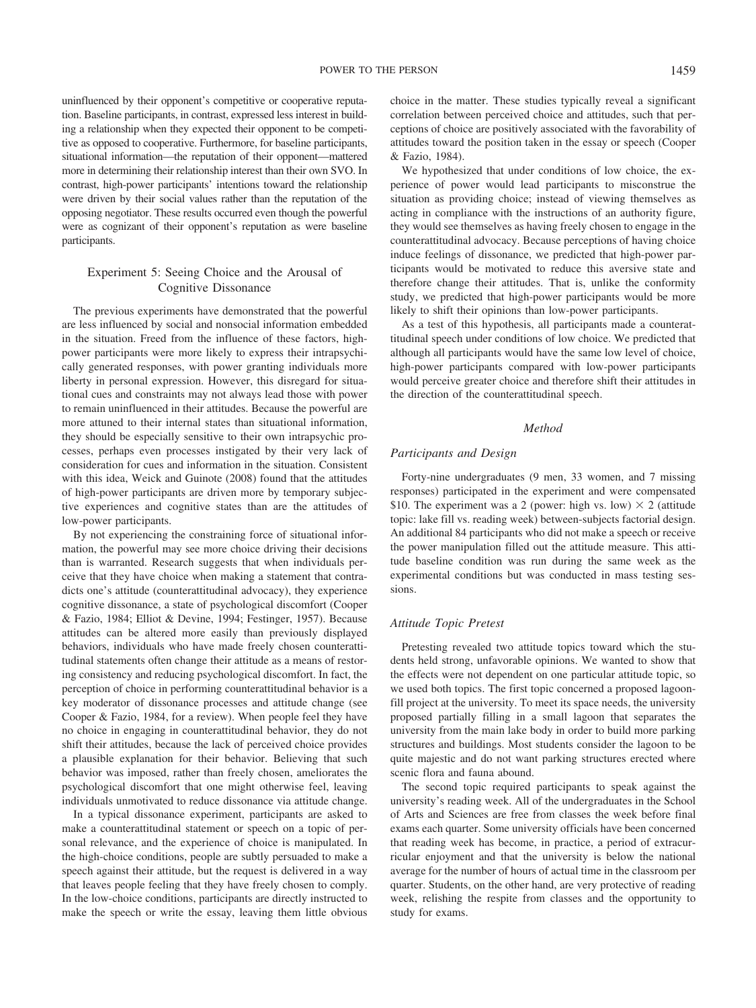uninfluenced by their opponent's competitive or cooperative reputation. Baseline participants, in contrast, expressed less interest in building a relationship when they expected their opponent to be competitive as opposed to cooperative. Furthermore, for baseline participants, situational information—the reputation of their opponent—mattered more in determining their relationship interest than their own SVO. In contrast, high-power participants' intentions toward the relationship were driven by their social values rather than the reputation of the opposing negotiator. These results occurred even though the powerful were as cognizant of their opponent's reputation as were baseline participants.

# Experiment 5: Seeing Choice and the Arousal of Cognitive Dissonance

The previous experiments have demonstrated that the powerful are less influenced by social and nonsocial information embedded in the situation. Freed from the influence of these factors, highpower participants were more likely to express their intrapsychically generated responses, with power granting individuals more liberty in personal expression. However, this disregard for situational cues and constraints may not always lead those with power to remain uninfluenced in their attitudes. Because the powerful are more attuned to their internal states than situational information, they should be especially sensitive to their own intrapsychic processes, perhaps even processes instigated by their very lack of consideration for cues and information in the situation. Consistent with this idea, Weick and Guinote (2008) found that the attitudes of high-power participants are driven more by temporary subjective experiences and cognitive states than are the attitudes of low-power participants.

By not experiencing the constraining force of situational information, the powerful may see more choice driving their decisions than is warranted. Research suggests that when individuals perceive that they have choice when making a statement that contradicts one's attitude (counterattitudinal advocacy), they experience cognitive dissonance, a state of psychological discomfort (Cooper & Fazio, 1984; Elliot & Devine, 1994; Festinger, 1957). Because attitudes can be altered more easily than previously displayed behaviors, individuals who have made freely chosen counterattitudinal statements often change their attitude as a means of restoring consistency and reducing psychological discomfort. In fact, the perception of choice in performing counterattitudinal behavior is a key moderator of dissonance processes and attitude change (see Cooper & Fazio, 1984, for a review). When people feel they have no choice in engaging in counterattitudinal behavior, they do not shift their attitudes, because the lack of perceived choice provides a plausible explanation for their behavior. Believing that such behavior was imposed, rather than freely chosen, ameliorates the psychological discomfort that one might otherwise feel, leaving individuals unmotivated to reduce dissonance via attitude change.

In a typical dissonance experiment, participants are asked to make a counterattitudinal statement or speech on a topic of personal relevance, and the experience of choice is manipulated. In the high-choice conditions, people are subtly persuaded to make a speech against their attitude, but the request is delivered in a way that leaves people feeling that they have freely chosen to comply. In the low-choice conditions, participants are directly instructed to make the speech or write the essay, leaving them little obvious choice in the matter. These studies typically reveal a significant correlation between perceived choice and attitudes, such that perceptions of choice are positively associated with the favorability of attitudes toward the position taken in the essay or speech (Cooper & Fazio, 1984).

We hypothesized that under conditions of low choice, the experience of power would lead participants to misconstrue the situation as providing choice; instead of viewing themselves as acting in compliance with the instructions of an authority figure, they would see themselves as having freely chosen to engage in the counterattitudinal advocacy. Because perceptions of having choice induce feelings of dissonance, we predicted that high-power participants would be motivated to reduce this aversive state and therefore change their attitudes. That is, unlike the conformity study, we predicted that high-power participants would be more likely to shift their opinions than low-power participants.

As a test of this hypothesis, all participants made a counterattitudinal speech under conditions of low choice. We predicted that although all participants would have the same low level of choice, high-power participants compared with low-power participants would perceive greater choice and therefore shift their attitudes in the direction of the counterattitudinal speech.

# *Method*

# *Participants and Design*

Forty-nine undergraduates (9 men, 33 women, and 7 missing responses) participated in the experiment and were compensated \$10. The experiment was a 2 (power: high vs. low)  $\times$  2 (attitude topic: lake fill vs. reading week) between-subjects factorial design. An additional 84 participants who did not make a speech or receive the power manipulation filled out the attitude measure. This attitude baseline condition was run during the same week as the experimental conditions but was conducted in mass testing sessions.

#### *Attitude Topic Pretest*

Pretesting revealed two attitude topics toward which the students held strong, unfavorable opinions. We wanted to show that the effects were not dependent on one particular attitude topic, so we used both topics. The first topic concerned a proposed lagoonfill project at the university. To meet its space needs, the university proposed partially filling in a small lagoon that separates the university from the main lake body in order to build more parking structures and buildings. Most students consider the lagoon to be quite majestic and do not want parking structures erected where scenic flora and fauna abound.

The second topic required participants to speak against the university's reading week. All of the undergraduates in the School of Arts and Sciences are free from classes the week before final exams each quarter. Some university officials have been concerned that reading week has become, in practice, a period of extracurricular enjoyment and that the university is below the national average for the number of hours of actual time in the classroom per quarter. Students, on the other hand, are very protective of reading week, relishing the respite from classes and the opportunity to study for exams.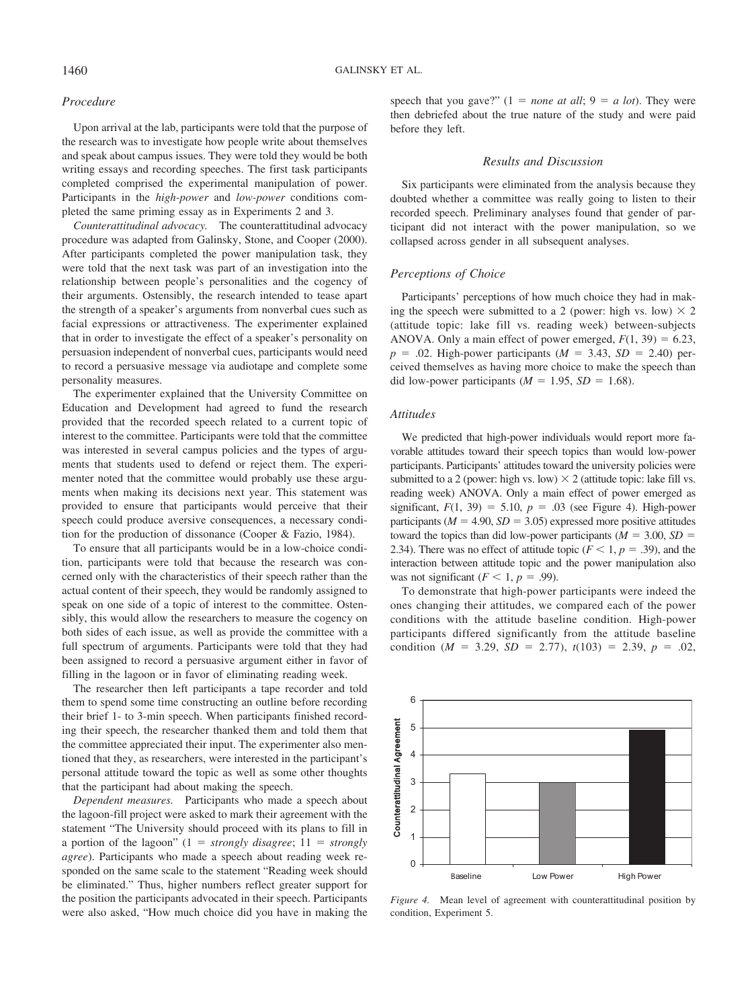# *Procedure*

Upon arrival at the lab, participants were told that the purpose of the research was to investigate how people write about themselves and speak about campus issues. They were told they would be both writing essays and recording speeches. The first task participants completed comprised the experimental manipulation of power. Participants in the *high-power* and *low-power* conditions completed the same priming essay as in Experiments 2 and 3.

*Counterattitudinal advocacy.* The counterattitudinal advocacy procedure was adapted from Galinsky, Stone, and Cooper (2000). After participants completed the power manipulation task, they were told that the next task was part of an investigation into the relationship between people's personalities and the cogency of their arguments. Ostensibly, the research intended to tease apart the strength of a speaker's arguments from nonverbal cues such as facial expressions or attractiveness. The experimenter explained that in order to investigate the effect of a speaker's personality on persuasion independent of nonverbal cues, participants would need to record a persuasive message via audiotape and complete some personality measures.

The experimenter explained that the University Committee on Education and Development had agreed to fund the research provided that the recorded speech related to a current topic of interest to the committee. Participants were told that the committee was interested in several campus policies and the types of arguments that students used to defend or reject them. The experimenter noted that the committee would probably use these arguments when making its decisions next year. This statement was provided to ensure that participants would perceive that their speech could produce aversive consequences, a necessary condition for the production of dissonance (Cooper & Fazio, 1984).

To ensure that all participants would be in a low-choice condition, participants were told that because the research was concerned only with the characteristics of their speech rather than the actual content of their speech, they would be randomly assigned to speak on one side of a topic of interest to the committee. Ostensibly, this would allow the researchers to measure the cogency on both sides of each issue, as well as provide the committee with a full spectrum of arguments. Participants were told that they had been assigned to record a persuasive argument either in favor of filling in the lagoon or in favor of eliminating reading week.

The researcher then left participants a tape recorder and told them to spend some time constructing an outline before recording their brief 1- to 3-min speech. When participants finished recording their speech, the researcher thanked them and told them that the committee appreciated their input. The experimenter also mentioned that they, as researchers, were interested in the participant's personal attitude toward the topic as well as some other thoughts that the participant had about making the speech.

*Dependent measures.* Participants who made a speech about the lagoon-fill project were asked to mark their agreement with the statement "The University should proceed with its plans to fill in a portion of the lagoon"  $(1 = \text{strongly disagree}; 11 = \text{strongly}$ *agree*). Participants who made a speech about reading week responded on the same scale to the statement "Reading week should be eliminated." Thus, higher numbers reflect greater support for the position the participants advocated in their speech. Participants were also asked, "How much choice did you have in making the

speech that you gave?"  $(1 = none at all; 9 = a lot)$ . They were then debriefed about the true nature of the study and were paid before they left.

#### *Results and Discussion*

Six participants were eliminated from the analysis because they doubted whether a committee was really going to listen to their recorded speech. Preliminary analyses found that gender of participant did not interact with the power manipulation, so we collapsed across gender in all subsequent analyses.

#### *Perceptions of Choice*

Participants' perceptions of how much choice they had in making the speech were submitted to a 2 (power: high vs. low)  $\times$  2 (attitude topic: lake fill vs. reading week) between-subjects ANOVA. Only a main effect of power emerged,  $F(1, 39) = 6.23$ ,  $p = .02$ . High-power participants ( $M = 3.43$ ,  $SD = 2.40$ ) perceived themselves as having more choice to make the speech than did low-power participants  $(M = 1.95, SD = 1.68)$ .

#### *Attitudes*

We predicted that high-power individuals would report more favorable attitudes toward their speech topics than would low-power participants. Participants' attitudes toward the university policies were submitted to a 2 (power: high vs. low)  $\times$  2 (attitude topic: lake fill vs. reading week) ANOVA. Only a main effect of power emerged as significant,  $F(1, 39) = 5.10$ ,  $p = .03$  (see Figure 4). High-power participants ( $M = 4.90$ ,  $SD = 3.05$ ) expressed more positive attitudes toward the topics than did low-power participants ( $M = 3.00$ ,  $SD =$ 2.34). There was no effect of attitude topic  $(F < 1, p = .39)$ , and the interaction between attitude topic and the power manipulation also was not significant  $(F < 1, p = .99)$ .

To demonstrate that high-power participants were indeed the ones changing their attitudes, we compared each of the power conditions with the attitude baseline condition. High-power participants differed significantly from the attitude baseline condition ( $M = 3.29$ ,  $SD = 2.77$ ),  $t(103) = 2.39$ ,  $p = .02$ ,



*Figure 4.* Mean level of agreement with counterattitudinal position by condition, Experiment 5.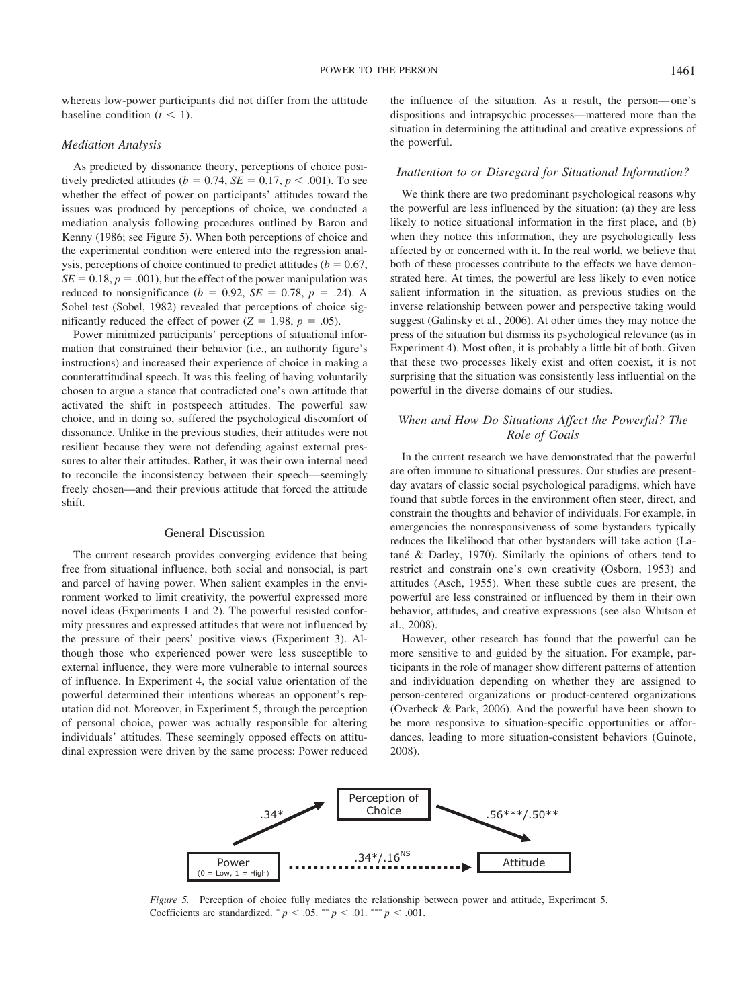whereas low-power participants did not differ from the attitude baseline condition  $(t < 1)$ .

#### *Mediation Analysis*

As predicted by dissonance theory, perceptions of choice positively predicted attitudes ( $b = 0.74$ ,  $SE = 0.17$ ,  $p < .001$ ). To see whether the effect of power on participants' attitudes toward the issues was produced by perceptions of choice, we conducted a mediation analysis following procedures outlined by Baron and Kenny (1986; see Figure 5). When both perceptions of choice and the experimental condition were entered into the regression analysis, perceptions of choice continued to predict attitudes ( $b = 0.67$ ,  $SE = 0.18$ ,  $p = .001$ ), but the effect of the power manipulation was reduced to nonsignificance ( $b = 0.92$ ,  $SE = 0.78$ ,  $p = .24$ ). A Sobel test (Sobel, 1982) revealed that perceptions of choice significantly reduced the effect of power  $(Z = 1.98, p = .05)$ .

Power minimized participants' perceptions of situational information that constrained their behavior (i.e., an authority figure's instructions) and increased their experience of choice in making a counterattitudinal speech. It was this feeling of having voluntarily chosen to argue a stance that contradicted one's own attitude that activated the shift in postspeech attitudes. The powerful saw choice, and in doing so, suffered the psychological discomfort of dissonance. Unlike in the previous studies, their attitudes were not resilient because they were not defending against external pressures to alter their attitudes. Rather, it was their own internal need to reconcile the inconsistency between their speech—seemingly freely chosen—and their previous attitude that forced the attitude shift.

#### General Discussion

The current research provides converging evidence that being free from situational influence, both social and nonsocial, is part and parcel of having power. When salient examples in the environment worked to limit creativity, the powerful expressed more novel ideas (Experiments 1 and 2). The powerful resisted conformity pressures and expressed attitudes that were not influenced by the pressure of their peers' positive views (Experiment 3). Although those who experienced power were less susceptible to external influence, they were more vulnerable to internal sources of influence. In Experiment 4, the social value orientation of the powerful determined their intentions whereas an opponent's reputation did not. Moreover, in Experiment 5, through the perception of personal choice, power was actually responsible for altering individuals' attitudes. These seemingly opposed effects on attitudinal expression were driven by the same process: Power reduced the influence of the situation. As a result, the person— one's dispositions and intrapsychic processes—mattered more than the situation in determining the attitudinal and creative expressions of the powerful.

#### *Inattention to or Disregard for Situational Information?*

We think there are two predominant psychological reasons why the powerful are less influenced by the situation: (a) they are less likely to notice situational information in the first place, and (b) when they notice this information, they are psychologically less affected by or concerned with it. In the real world, we believe that both of these processes contribute to the effects we have demonstrated here. At times, the powerful are less likely to even notice salient information in the situation, as previous studies on the inverse relationship between power and perspective taking would suggest (Galinsky et al., 2006). At other times they may notice the press of the situation but dismiss its psychological relevance (as in Experiment 4). Most often, it is probably a little bit of both. Given that these two processes likely exist and often coexist, it is not surprising that the situation was consistently less influential on the powerful in the diverse domains of our studies.

# *When and How Do Situations Affect the Powerful? The Role of Goals*

In the current research we have demonstrated that the powerful are often immune to situational pressures. Our studies are presentday avatars of classic social psychological paradigms, which have found that subtle forces in the environment often steer, direct, and constrain the thoughts and behavior of individuals. For example, in emergencies the nonresponsiveness of some bystanders typically reduces the likelihood that other bystanders will take action (Latané  $\&$  Darley, 1970). Similarly the opinions of others tend to restrict and constrain one's own creativity (Osborn, 1953) and attitudes (Asch, 1955). When these subtle cues are present, the powerful are less constrained or influenced by them in their own behavior, attitudes, and creative expressions (see also Whitson et al., 2008).

However, other research has found that the powerful can be more sensitive to and guided by the situation. For example, participants in the role of manager show different patterns of attention and individuation depending on whether they are assigned to person-centered organizations or product-centered organizations (Overbeck & Park, 2006). And the powerful have been shown to be more responsive to situation-specific opportunities or affordances, leading to more situation-consistent behaviors (Guinote, 2008).



*Figure 5.* Perception of choice fully mediates the relationship between power and attitude, Experiment 5. Coefficients are standardized.  $^{*} p < .05.$   $^{**} p < .01.$   $^{***} p < .001.$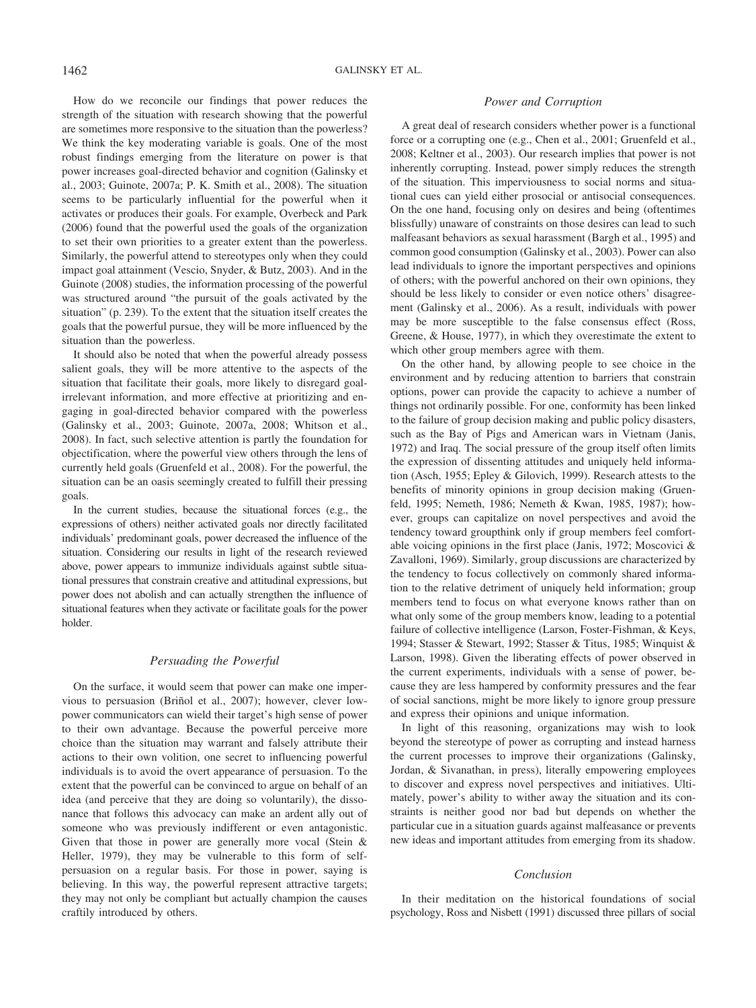How do we reconcile our findings that power reduces the strength of the situation with research showing that the powerful are sometimes more responsive to the situation than the powerless? We think the key moderating variable is goals. One of the most robust findings emerging from the literature on power is that power increases goal-directed behavior and cognition (Galinsky et al., 2003; Guinote, 2007a; P. K. Smith et al., 2008). The situation seems to be particularly influential for the powerful when it activates or produces their goals. For example, Overbeck and Park (2006) found that the powerful used the goals of the organization to set their own priorities to a greater extent than the powerless. Similarly, the powerful attend to stereotypes only when they could impact goal attainment (Vescio, Snyder, & Butz, 2003). And in the Guinote (2008) studies, the information processing of the powerful was structured around "the pursuit of the goals activated by the situation" (p. 239). To the extent that the situation itself creates the goals that the powerful pursue, they will be more influenced by the situation than the powerless.

It should also be noted that when the powerful already possess salient goals, they will be more attentive to the aspects of the situation that facilitate their goals, more likely to disregard goalirrelevant information, and more effective at prioritizing and engaging in goal-directed behavior compared with the powerless (Galinsky et al., 2003; Guinote, 2007a, 2008; Whitson et al., 2008). In fact, such selective attention is partly the foundation for objectification, where the powerful view others through the lens of currently held goals (Gruenfeld et al., 2008). For the powerful, the situation can be an oasis seemingly created to fulfill their pressing goals.

In the current studies, because the situational forces (e.g., the expressions of others) neither activated goals nor directly facilitated individuals' predominant goals, power decreased the influence of the situation. Considering our results in light of the research reviewed above, power appears to immunize individuals against subtle situational pressures that constrain creative and attitudinal expressions, but power does not abolish and can actually strengthen the influence of situational features when they activate or facilitate goals for the power holder.

#### *Persuading the Powerful*

On the surface, it would seem that power can make one impervious to persuasion (Briñol et al., 2007); however, clever lowpower communicators can wield their target's high sense of power to their own advantage. Because the powerful perceive more choice than the situation may warrant and falsely attribute their actions to their own volition, one secret to influencing powerful individuals is to avoid the overt appearance of persuasion. To the extent that the powerful can be convinced to argue on behalf of an idea (and perceive that they are doing so voluntarily), the dissonance that follows this advocacy can make an ardent ally out of someone who was previously indifferent or even antagonistic. Given that those in power are generally more vocal (Stein & Heller, 1979), they may be vulnerable to this form of selfpersuasion on a regular basis. For those in power, saying is believing. In this way, the powerful represent attractive targets; they may not only be compliant but actually champion the causes craftily introduced by others.

#### *Power and Corruption*

A great deal of research considers whether power is a functional force or a corrupting one (e.g., Chen et al., 2001; Gruenfeld et al., 2008; Keltner et al., 2003). Our research implies that power is not inherently corrupting. Instead, power simply reduces the strength of the situation. This imperviousness to social norms and situational cues can yield either prosocial or antisocial consequences. On the one hand, focusing only on desires and being (oftentimes blissfully) unaware of constraints on those desires can lead to such malfeasant behaviors as sexual harassment (Bargh et al., 1995) and common good consumption (Galinsky et al., 2003). Power can also lead individuals to ignore the important perspectives and opinions of others; with the powerful anchored on their own opinions, they should be less likely to consider or even notice others' disagreement (Galinsky et al., 2006). As a result, individuals with power may be more susceptible to the false consensus effect (Ross, Greene, & House, 1977), in which they overestimate the extent to which other group members agree with them.

On the other hand, by allowing people to see choice in the environment and by reducing attention to barriers that constrain options, power can provide the capacity to achieve a number of things not ordinarily possible. For one, conformity has been linked to the failure of group decision making and public policy disasters, such as the Bay of Pigs and American wars in Vietnam (Janis, 1972) and Iraq. The social pressure of the group itself often limits the expression of dissenting attitudes and uniquely held information (Asch, 1955; Epley & Gilovich, 1999). Research attests to the benefits of minority opinions in group decision making (Gruenfeld, 1995; Nemeth, 1986; Nemeth & Kwan, 1985, 1987); however, groups can capitalize on novel perspectives and avoid the tendency toward groupthink only if group members feel comfortable voicing opinions in the first place (Janis, 1972; Moscovici & Zavalloni, 1969). Similarly, group discussions are characterized by the tendency to focus collectively on commonly shared information to the relative detriment of uniquely held information; group members tend to focus on what everyone knows rather than on what only some of the group members know, leading to a potential failure of collective intelligence (Larson, Foster-Fishman, & Keys, 1994; Stasser & Stewart, 1992; Stasser & Titus, 1985; Winquist & Larson, 1998). Given the liberating effects of power observed in the current experiments, individuals with a sense of power, because they are less hampered by conformity pressures and the fear of social sanctions, might be more likely to ignore group pressure and express their opinions and unique information.

In light of this reasoning, organizations may wish to look beyond the stereotype of power as corrupting and instead harness the current processes to improve their organizations (Galinsky, Jordan, & Sivanathan, in press), literally empowering employees to discover and express novel perspectives and initiatives. Ultimately, power's ability to wither away the situation and its constraints is neither good nor bad but depends on whether the particular cue in a situation guards against malfeasance or prevents new ideas and important attitudes from emerging from its shadow.

#### *Conclusion*

In their meditation on the historical foundations of social psychology, Ross and Nisbett (1991) discussed three pillars of social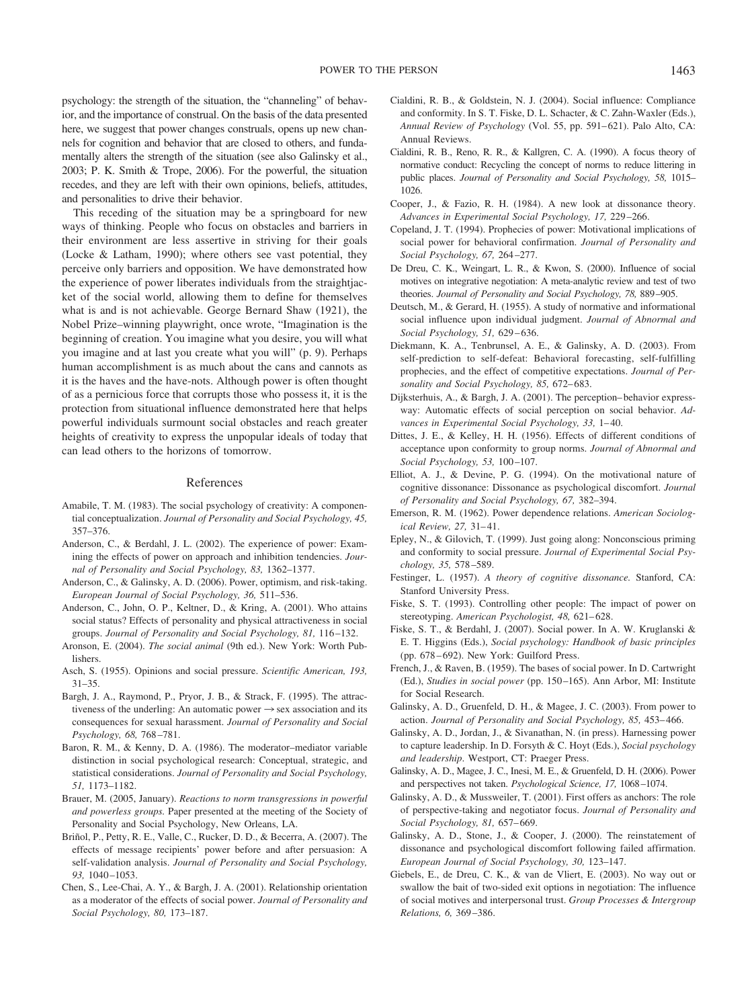psychology: the strength of the situation, the "channeling" of behavior, and the importance of construal. On the basis of the data presented here, we suggest that power changes construals, opens up new channels for cognition and behavior that are closed to others, and fundamentally alters the strength of the situation (see also Galinsky et al., 2003; P. K. Smith & Trope, 2006). For the powerful, the situation recedes, and they are left with their own opinions, beliefs, attitudes, and personalities to drive their behavior.

This receding of the situation may be a springboard for new ways of thinking. People who focus on obstacles and barriers in their environment are less assertive in striving for their goals (Locke & Latham, 1990); where others see vast potential, they perceive only barriers and opposition. We have demonstrated how the experience of power liberates individuals from the straightjacket of the social world, allowing them to define for themselves what is and is not achievable. George Bernard Shaw (1921), the Nobel Prize–winning playwright, once wrote, "Imagination is the beginning of creation. You imagine what you desire, you will what you imagine and at last you create what you will" (p. 9). Perhaps human accomplishment is as much about the cans and cannots as it is the haves and the have-nots. Although power is often thought of as a pernicious force that corrupts those who possess it, it is the protection from situational influence demonstrated here that helps powerful individuals surmount social obstacles and reach greater heights of creativity to express the unpopular ideals of today that can lead others to the horizons of tomorrow.

#### References

- Amabile, T. M. (1983). The social psychology of creativity: A componential conceptualization. *Journal of Personality and Social Psychology, 45,* 357–376.
- Anderson, C., & Berdahl, J. L. (2002). The experience of power: Examining the effects of power on approach and inhibition tendencies. *Journal of Personality and Social Psychology, 83,* 1362–1377.
- Anderson, C., & Galinsky, A. D. (2006). Power, optimism, and risk-taking. *European Journal of Social Psychology, 36,* 511–536.
- Anderson, C., John, O. P., Keltner, D., & Kring, A. (2001). Who attains social status? Effects of personality and physical attractiveness in social groups. *Journal of Personality and Social Psychology, 81,* 116 –132.
- Aronson, E. (2004). *The social animal* (9th ed.). New York: Worth Publishers.
- Asch, S. (1955). Opinions and social pressure. *Scientific American, 193,* 31–35.
- Bargh, J. A., Raymond, P., Pryor, J. B., & Strack, F. (1995). The attractiveness of the underling: An automatic power  $\rightarrow$  sex association and its consequences for sexual harassment. *Journal of Personality and Social Psychology, 68,* 768 –781.
- Baron, R. M., & Kenny, D. A. (1986). The moderator–mediator variable distinction in social psychological research: Conceptual, strategic, and statistical considerations. *Journal of Personality and Social Psychology, 51,* 1173–1182.
- Brauer, M. (2005, January). *Reactions to norm transgressions in powerful and powerless groups.* Paper presented at the meeting of the Society of Personality and Social Psychology, New Orleans, LA.
- Briñol, P., Petty, R. E., Valle, C., Rucker, D. D., & Becerra, A. (2007). The effects of message recipients' power before and after persuasion: A self-validation analysis. *Journal of Personality and Social Psychology, 93,* 1040 –1053.
- Chen, S., Lee-Chai, A. Y., & Bargh, J. A. (2001). Relationship orientation as a moderator of the effects of social power. *Journal of Personality and Social Psychology, 80,* 173–187.
- Cialdini, R. B., & Goldstein, N. J. (2004). Social influence: Compliance and conformity. In S. T. Fiske, D. L. Schacter, & C. Zahn-Waxler (Eds.), Annual Review of Psychology (Vol. 55, pp. 591-621). Palo Alto, CA: Annual Reviews.
- Cialdini, R. B., Reno, R. R., & Kallgren, C. A. (1990). A focus theory of normative conduct: Recycling the concept of norms to reduce littering in public places. *Journal of Personality and Social Psychology, 58,* 1015– 1026.
- Cooper, J., & Fazio, R. H. (1984). A new look at dissonance theory. *Advances in Experimental Social Psychology, 17,* 229 –266.
- Copeland, J. T. (1994). Prophecies of power: Motivational implications of social power for behavioral confirmation. *Journal of Personality and Social Psychology, 67,* 264 –277.
- De Dreu, C. K., Weingart, L. R., & Kwon, S. (2000). Influence of social motives on integrative negotiation: A meta-analytic review and test of two theories. *Journal of Personality and Social Psychology, 78,* 889 –905.
- Deutsch, M., & Gerard, H. (1955). A study of normative and informational social influence upon individual judgment. *Journal of Abnormal and Social Psychology, 51,* 629 – 636.
- Diekmann, K. A., Tenbrunsel, A. E., & Galinsky, A. D. (2003). From self-prediction to self-defeat: Behavioral forecasting, self-fulfilling prophecies, and the effect of competitive expectations. *Journal of Personality and Social Psychology, 85,* 672– 683.
- Dijksterhuis, A., & Bargh, J. A. (2001). The perception– behavior expressway: Automatic effects of social perception on social behavior. *Advances in Experimental Social Psychology, 33,* 1– 40.
- Dittes, J. E., & Kelley, H. H. (1956). Effects of different conditions of acceptance upon conformity to group norms. *Journal of Abnormal and Social Psychology, 53,* 100 –107.
- Elliot, A. J., & Devine, P. G. (1994). On the motivational nature of cognitive dissonance: Dissonance as psychological discomfort. *Journal of Personality and Social Psychology, 67,* 382–394.
- Emerson, R. M. (1962). Power dependence relations. *American Sociological Review, 27,* 31– 41.
- Epley, N., & Gilovich, T. (1999). Just going along: Nonconscious priming and conformity to social pressure. *Journal of Experimental Social Psychology, 35,* 578 –589.
- Festinger, L. (1957). *A theory of cognitive dissonance.* Stanford, CA: Stanford University Press.
- Fiske, S. T. (1993). Controlling other people: The impact of power on stereotyping. American Psychologist, 48, 621-628.
- Fiske, S. T., & Berdahl, J. (2007). Social power. In A. W. Kruglanski & E. T. Higgins (Eds.), *Social psychology: Handbook of basic principles* (pp. 678 – 692). New York: Guilford Press.
- French, J., & Raven, B. (1959). The bases of social power. In D. Cartwright (Ed.), *Studies in social power* (pp. 150-165). Ann Arbor, MI: Institute for Social Research.
- Galinsky, A. D., Gruenfeld, D. H., & Magee, J. C. (2003). From power to action. *Journal of Personality and Social Psychology, 85,* 453– 466.
- Galinsky, A. D., Jordan, J., & Sivanathan, N. (in press). Harnessing power to capture leadership. In D. Forsyth & C. Hoyt (Eds.), *Social psychology and leadership*. Westport, CT: Praeger Press.
- Galinsky, A. D., Magee, J. C., Inesi, M. E., & Gruenfeld, D. H. (2006). Power and perspectives not taken. *Psychological Science, 17,* 1068 –1074.
- Galinsky, A. D., & Mussweiler, T. (2001). First offers as anchors: The role of perspective-taking and negotiator focus. *Journal of Personality and Social Psychology, 81,* 657– 669.
- Galinsky, A. D., Stone, J., & Cooper, J. (2000). The reinstatement of dissonance and psychological discomfort following failed affirmation. *European Journal of Social Psychology, 30,* 123–147.
- Giebels, E., de Dreu, C. K., & van de Vliert, E. (2003). No way out or swallow the bait of two-sided exit options in negotiation: The influence of social motives and interpersonal trust. *Group Processes & Intergroup Relations, 6,* 369 –386.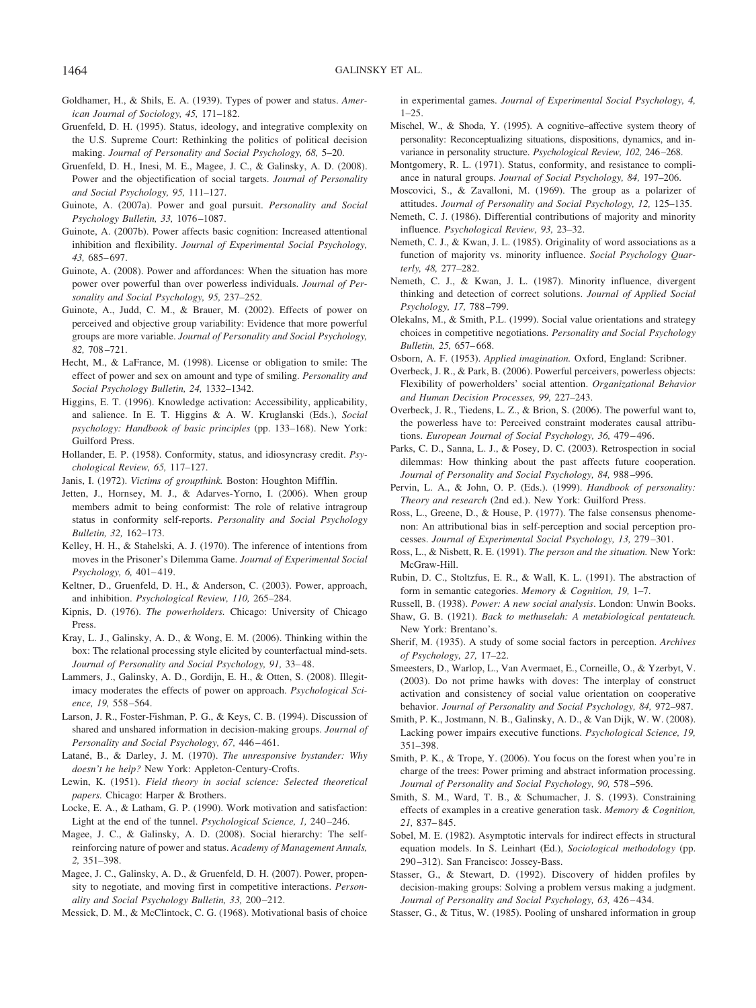- Goldhamer, H., & Shils, E. A. (1939). Types of power and status. *American Journal of Sociology, 45,* 171–182.
- Gruenfeld, D. H. (1995). Status, ideology, and integrative complexity on the U.S. Supreme Court: Rethinking the politics of political decision making. *Journal of Personality and Social Psychology, 68,* 5–20.
- Gruenfeld, D. H., Inesi, M. E., Magee, J. C., & Galinsky, A. D. (2008). Power and the objectification of social targets. *Journal of Personality and Social Psychology, 95,* 111–127.
- Guinote, A. (2007a). Power and goal pursuit. *Personality and Social Psychology Bulletin, 33,* 1076 –1087.
- Guinote, A. (2007b). Power affects basic cognition: Increased attentional inhibition and flexibility. *Journal of Experimental Social Psychology, 43,* 685– 697.
- Guinote, A. (2008). Power and affordances: When the situation has more power over powerful than over powerless individuals. *Journal of Personality and Social Psychology, 95,* 237–252.
- Guinote, A., Judd, C. M., & Brauer, M. (2002). Effects of power on perceived and objective group variability: Evidence that more powerful groups are more variable. *Journal of Personality and Social Psychology, 82,* 708 –721.
- Hecht, M., & LaFrance, M. (1998). License or obligation to smile: The effect of power and sex on amount and type of smiling. *Personality and Social Psychology Bulletin, 24,* 1332–1342.
- Higgins, E. T. (1996). Knowledge activation: Accessibility, applicability, and salience. In E. T. Higgins & A. W. Kruglanski (Eds.), *Social psychology: Handbook of basic principles* (pp. 133–168). New York: Guilford Press.
- Hollander, E. P. (1958). Conformity, status, and idiosyncrasy credit. *Psychological Review, 65,* 117–127.
- Janis, I. (1972). *Victims of groupthink.* Boston: Houghton Mifflin.
- Jetten, J., Hornsey, M. J., & Adarves-Yorno, I. (2006). When group members admit to being conformist: The role of relative intragroup status in conformity self-reports. *Personality and Social Psychology Bulletin, 32,* 162–173.
- Kelley, H. H., & Stahelski, A. J. (1970). The inference of intentions from moves in the Prisoner's Dilemma Game. *Journal of Experimental Social Psychology, 6,* 401– 419.
- Keltner, D., Gruenfeld, D. H., & Anderson, C. (2003). Power, approach, and inhibition. *Psychological Review, 110,* 265–284.
- Kipnis, D. (1976). *The powerholders.* Chicago: University of Chicago Press.
- Kray, L. J., Galinsky, A. D., & Wong, E. M. (2006). Thinking within the box: The relational processing style elicited by counterfactual mind-sets. *Journal of Personality and Social Psychology, 91,* 33– 48.
- Lammers, J., Galinsky, A. D., Gordijn, E. H., & Otten, S. (2008). Illegitimacy moderates the effects of power on approach. *Psychological Science, 19,* 558 –564.
- Larson, J. R., Foster-Fishman, P. G., & Keys, C. B. (1994). Discussion of shared and unshared information in decision-making groups. *Journal of Personality and Social Psychology, 67,* 446 – 461.
- Latané, B., & Darley, J. M. (1970). *The unresponsive bystander: Why doesn't he help?* New York: Appleton-Century-Crofts.
- Lewin, K. (1951). *Field theory in social science: Selected theoretical papers.* Chicago: Harper & Brothers.
- Locke, E. A., & Latham, G. P. (1990). Work motivation and satisfaction: Light at the end of the tunnel. *Psychological Science, 1,* 240 –246.
- Magee, J. C., & Galinsky, A. D. (2008). Social hierarchy: The selfreinforcing nature of power and status. *Academy of Management Annals, 2,* 351–398.
- Magee, J. C., Galinsky, A. D., & Gruenfeld, D. H. (2007). Power, propensity to negotiate, and moving first in competitive interactions. *Personality and Social Psychology Bulletin, 33,* 200 –212.

Messick, D. M., & McClintock, C. G. (1968). Motivational basis of choice

in experimental games. *Journal of Experimental Social Psychology, 4,* 1–25.

- Mischel, W., & Shoda, Y. (1995). A cognitive–affective system theory of personality: Reconceptualizing situations, dispositions, dynamics, and invariance in personality structure. *Psychological Review, 102,* 246 –268.
- Montgomery, R. L. (1971). Status, conformity, and resistance to compliance in natural groups. *Journal of Social Psychology, 84,* 197–206.
- Moscovici, S., & Zavalloni, M. (1969). The group as a polarizer of attitudes. *Journal of Personality and Social Psychology, 12,* 125–135.
- Nemeth, C. J. (1986). Differential contributions of majority and minority influence. *Psychological Review, 93,* 23–32.
- Nemeth, C. J., & Kwan, J. L. (1985). Originality of word associations as a function of majority vs. minority influence. *Social Psychology Quarterly, 48,* 277–282.
- Nemeth, C. J., & Kwan, J. L. (1987). Minority influence, divergent thinking and detection of correct solutions. *Journal of Applied Social Psychology, 17,* 788 –799.
- Olekalns, M., & Smith, P.L. (1999). Social value orientations and strategy choices in competitive negotiations. *Personality and Social Psychology Bulletin, 25,* 657– 668.
- Osborn, A. F. (1953). *Applied imagination.* Oxford, England: Scribner.
- Overbeck, J. R., & Park, B. (2006). Powerful perceivers, powerless objects: Flexibility of powerholders' social attention. *Organizational Behavior and Human Decision Processes, 99,* 227–243.
- Overbeck, J. R., Tiedens, L. Z., & Brion, S. (2006). The powerful want to, the powerless have to: Perceived constraint moderates causal attributions. *European Journal of Social Psychology, 36,* 479 – 496.
- Parks, C. D., Sanna, L. J., & Posey, D. C. (2003). Retrospection in social dilemmas: How thinking about the past affects future cooperation. *Journal of Personality and Social Psychology, 84,* 988 –996.
- Pervin, L. A., & John, O. P. (Eds.). (1999). *Handbook of personality: Theory and research* (2nd ed.). New York: Guilford Press.
- Ross, L., Greene, D., & House, P. (1977). The false consensus phenomenon: An attributional bias in self-perception and social perception processes. *Journal of Experimental Social Psychology, 13,* 279 –301.
- Ross, L., & Nisbett, R. E. (1991). *The person and the situation.* New York: McGraw-Hill.
- Rubin, D. C., Stoltzfus, E. R., & Wall, K. L. (1991). The abstraction of form in semantic categories. *Memory & Cognition, 19,* 1–7.
- Russell, B. (1938). *Power: A new social analysis*. London: Unwin Books. Shaw, G. B. (1921). *Back to methuselah: A metabiological pentateuch.* New York: Brentano's.
- Sherif, M. (1935). A study of some social factors in perception. *Archives of Psychology, 27,* 17–22.
- Smeesters, D., Warlop, L., Van Avermaet, E., Corneille, O., & Yzerbyt, V. (2003). Do not prime hawks with doves: The interplay of construct activation and consistency of social value orientation on cooperative behavior. *Journal of Personality and Social Psychology, 84,* 972–987.
- Smith, P. K., Jostmann, N. B., Galinsky, A. D., & Van Dijk, W. W. (2008). Lacking power impairs executive functions. *Psychological Science, 19,* 351–398.
- Smith, P. K., & Trope, Y. (2006). You focus on the forest when you're in charge of the trees: Power priming and abstract information processing. *Journal of Personality and Social Psychology, 90,* 578 –596.
- Smith, S. M., Ward, T. B., & Schumacher, J. S. (1993). Constraining effects of examples in a creative generation task. *Memory & Cognition, 21,* 837– 845.
- Sobel, M. E. (1982). Asymptotic intervals for indirect effects in structural equation models. In S. Leinhart (Ed.), *Sociological methodology* (pp. 290 –312). San Francisco: Jossey-Bass.
- Stasser, G., & Stewart, D. (1992). Discovery of hidden profiles by decision-making groups: Solving a problem versus making a judgment. *Journal of Personality and Social Psychology, 63,* 426 – 434.
- Stasser, G., & Titus, W. (1985). Pooling of unshared information in group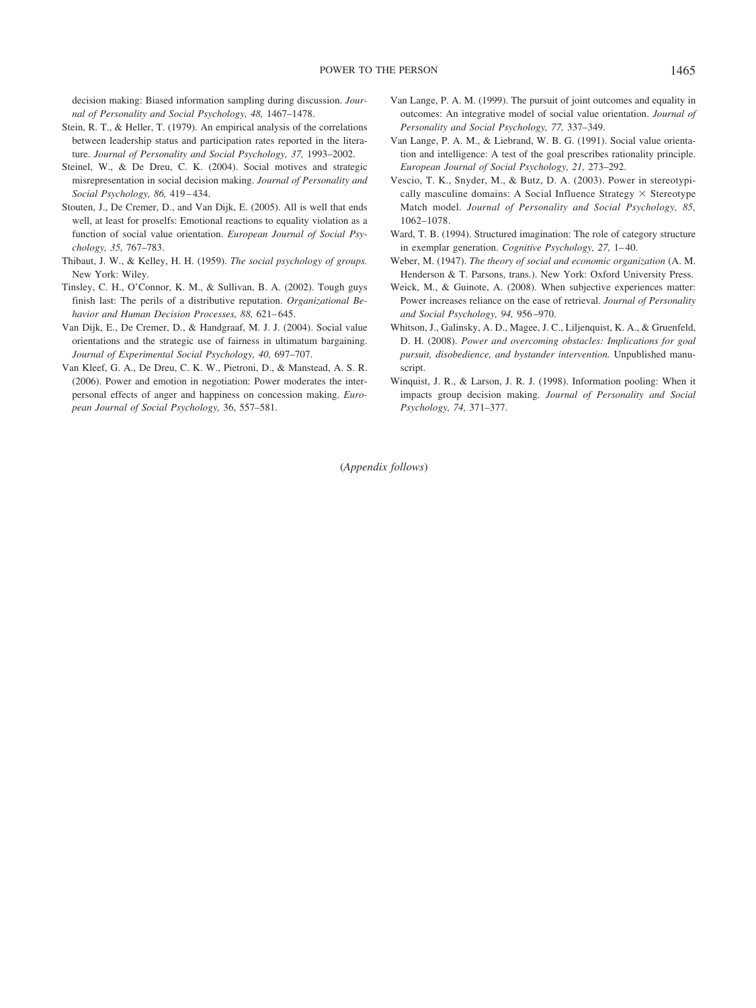decision making: Biased information sampling during discussion. *Journal of Personality and Social Psychology, 48,* 1467–1478.

- Stein, R. T., & Heller, T. (1979). An empirical analysis of the correlations between leadership status and participation rates reported in the literature. *Journal of Personality and Social Psychology, 37,* 1993–2002.
- Steinel, W., & De Dreu, C. K. (2004). Social motives and strategic misrepresentation in social decision making. *Journal of Personality and Social Psychology, 86,* 419 – 434.
- Stouten, J., De Cremer, D., and Van Dijk, E. (2005). All is well that ends well, at least for proselfs: Emotional reactions to equality violation as a function of social value orientation. *European Journal of Social Psychology, 35,* 767–783.
- Thibaut, J. W., & Kelley, H. H. (1959). *The social psychology of groups.* New York: Wiley.
- Tinsley, C. H., O'Connor, K. M., & Sullivan, B. A. (2002). Tough guys finish last: The perils of a distributive reputation. *Organizational Behavior and Human Decision Processes, 88,* 621– 645.
- Van Dijk, E., De Cremer, D., & Handgraaf, M. J. J. (2004). Social value orientations and the strategic use of fairness in ultimatum bargaining. *Journal of Experimental Social Psychology, 40,* 697–707.
- Van Kleef, G. A., De Dreu, C. K. W., Pietroni, D., & Manstead, A. S. R. (2006). Power and emotion in negotiation: Power moderates the interpersonal effects of anger and happiness on concession making. *European Journal of Social Psychology,* 36, 557–581.
- Van Lange, P. A. M. (1999). The pursuit of joint outcomes and equality in outcomes: An integrative model of social value orientation. *Journal of Personality and Social Psychology, 77,* 337–349.
- Van Lange, P. A. M., & Liebrand, W. B. G. (1991). Social value orientation and intelligence: A test of the goal prescribes rationality principle. *European Journal of Social Psychology, 21,* 273–292.
- Vescio, T. K., Snyder, M., & Butz, D. A. (2003). Power in stereotypically masculine domains: A Social Influence Strategy  $\times$  Stereotype Match model. *Journal of Personality and Social Psychology, 85,* 1062–1078.
- Ward, T. B. (1994). Structured imagination: The role of category structure in exemplar generation. *Cognitive Psychology, 27,* 1– 40.
- Weber, M. (1947). *The theory of social and economic organization* (A. M. Henderson & T. Parsons, trans.). New York: Oxford University Press.
- Weick, M., & Guinote, A. (2008). When subjective experiences matter: Power increases reliance on the ease of retrieval. *Journal of Personality and Social Psychology, 94,* 956 –970.
- Whitson, J., Galinsky, A. D., Magee, J. C., Liljenquist, K. A., & Gruenfeld, D. H. (2008). *Power and overcoming obstacles: Implications for goal pursuit, disobedience, and bystander intervention.* Unpublished manuscript.
- Winquist, J. R., & Larson, J. R. J. (1998). Information pooling: When it impacts group decision making. *Journal of Personality and Social Psychology, 74,* 371–377.

(*Appendix follows*)